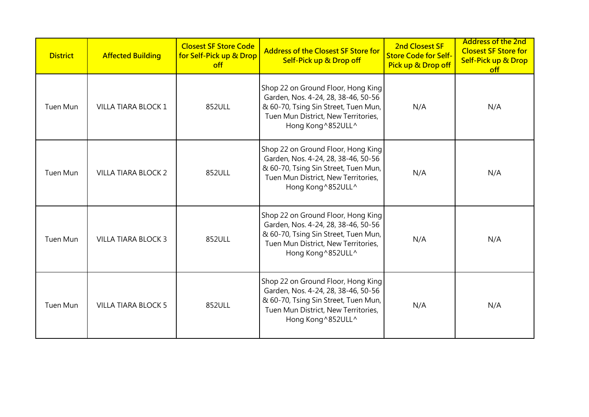| <b>District</b> | <b>Affected Building</b>   | <b>Closest SF Store Code</b><br>for Self-Pick up & Drop<br>off | <b>Address of the Closest SF Store for</b><br>Self-Pick up & Drop off                                                                                                          | 2nd Closest SF<br><b>Store Code for Self-</b><br>Pick up & Drop off | <b>Address of the 2nd</b><br><b>Closest SF Store for</b><br>Self-Pick up & Drop<br>off |
|-----------------|----------------------------|----------------------------------------------------------------|--------------------------------------------------------------------------------------------------------------------------------------------------------------------------------|---------------------------------------------------------------------|----------------------------------------------------------------------------------------|
| Tuen Mun        | VILLA TIARA BLOCK 1        | 852ULL                                                         | Shop 22 on Ground Floor, Hong King<br>Garden, Nos. 4-24, 28, 38-46, 50-56<br>& 60-70, Tsing Sin Street, Tuen Mun,<br>Tuen Mun District, New Territories,<br>Hong Kong ^852ULL^ | N/A                                                                 | N/A                                                                                    |
| Tuen Mun        | <b>VILLA TIARA BLOCK 2</b> | 852ULL                                                         | Shop 22 on Ground Floor, Hong King<br>Garden, Nos. 4-24, 28, 38-46, 50-56<br>& 60-70, Tsing Sin Street, Tuen Mun,<br>Tuen Mun District, New Territories,<br>Hong Kong ^852ULL^ | N/A                                                                 | N/A                                                                                    |
| <b>Tuen Mun</b> | <b>VILLA TIARA BLOCK 3</b> | 852ULL                                                         | Shop 22 on Ground Floor, Hong King<br>Garden, Nos. 4-24, 28, 38-46, 50-56<br>& 60-70, Tsing Sin Street, Tuen Mun,<br>Tuen Mun District, New Territories,<br>Hong Kong ^852ULL^ | N/A                                                                 | N/A                                                                                    |
| <b>Tuen Mun</b> | <b>VILLA TIARA BLOCK 5</b> | 852ULL                                                         | Shop 22 on Ground Floor, Hong King<br>Garden, Nos. 4-24, 28, 38-46, 50-56<br>& 60-70, Tsing Sin Street, Tuen Mun,<br>Tuen Mun District, New Territories,<br>Hong Kong ^852ULL^ | N/A                                                                 | N/A                                                                                    |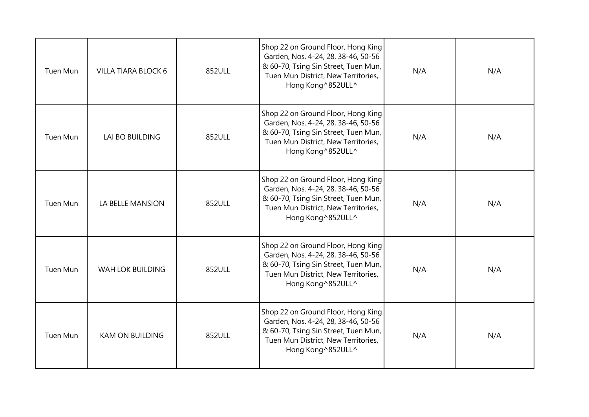| Tuen Mun        | <b>VILLA TIARA BLOCK 6</b> | 852ULL | Shop 22 on Ground Floor, Hong King<br>Garden, Nos. 4-24, 28, 38-46, 50-56<br>& 60-70, Tsing Sin Street, Tuen Mun,<br>Tuen Mun District, New Territories,<br>Hong Kong ^852ULL^ | N/A | N/A |
|-----------------|----------------------------|--------|--------------------------------------------------------------------------------------------------------------------------------------------------------------------------------|-----|-----|
| <b>Tuen Mun</b> | <b>LAI BO BUILDING</b>     | 852ULL | Shop 22 on Ground Floor, Hong King<br>Garden, Nos. 4-24, 28, 38-46, 50-56<br>& 60-70, Tsing Sin Street, Tuen Mun,<br>Tuen Mun District, New Territories,<br>Hong Kong ^852ULL^ | N/A | N/A |
| <b>Tuen Mun</b> | LA BELLE MANSION           | 852ULL | Shop 22 on Ground Floor, Hong King<br>Garden, Nos. 4-24, 28, 38-46, 50-56<br>& 60-70, Tsing Sin Street, Tuen Mun,<br>Tuen Mun District, New Territories,<br>Hong Kong ^852ULL^ | N/A | N/A |
| Tuen Mun        | WAH LOK BUILDING           | 852ULL | Shop 22 on Ground Floor, Hong King<br>Garden, Nos. 4-24, 28, 38-46, 50-56<br>& 60-70, Tsing Sin Street, Tuen Mun,<br>Tuen Mun District, New Territories,<br>Hong Kong ^852ULL^ | N/A | N/A |
| Tuen Mun        | <b>KAM ON BUILDING</b>     | 852ULL | Shop 22 on Ground Floor, Hong King<br>Garden, Nos. 4-24, 28, 38-46, 50-56<br>& 60-70, Tsing Sin Street, Tuen Mun,<br>Tuen Mun District, New Territories,<br>Hong Kong ^852ULL^ | N/A | N/A |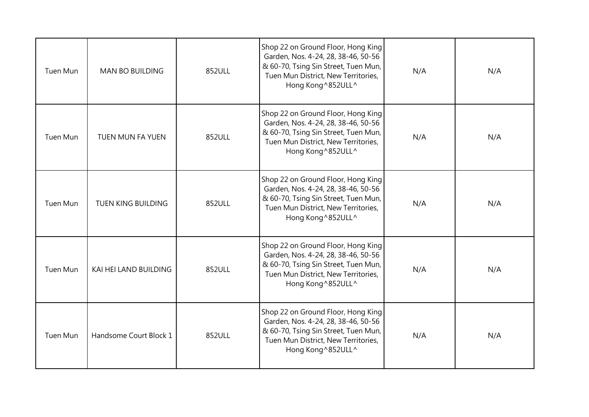| Tuen Mun        | <b>MAN BO BUILDING</b>    | 852ULL | Shop 22 on Ground Floor, Hong King<br>Garden, Nos. 4-24, 28, 38-46, 50-56<br>& 60-70, Tsing Sin Street, Tuen Mun,<br>Tuen Mun District, New Territories,<br>Hong Kong ^852ULL^ | N/A | N/A |
|-----------------|---------------------------|--------|--------------------------------------------------------------------------------------------------------------------------------------------------------------------------------|-----|-----|
| <b>Tuen Mun</b> | <b>TUEN MUN FA YUEN</b>   | 852ULL | Shop 22 on Ground Floor, Hong King<br>Garden, Nos. 4-24, 28, 38-46, 50-56<br>& 60-70, Tsing Sin Street, Tuen Mun,<br>Tuen Mun District, New Territories,<br>Hong Kong ^852ULL^ | N/A | N/A |
| <b>Tuen Mun</b> | <b>TUEN KING BUILDING</b> | 852ULL | Shop 22 on Ground Floor, Hong King<br>Garden, Nos. 4-24, 28, 38-46, 50-56<br>& 60-70, Tsing Sin Street, Tuen Mun,<br>Tuen Mun District, New Territories,<br>Hong Kong ^852ULL^ | N/A | N/A |
| Tuen Mun        | KAI HEI LAND BUILDING     | 852ULL | Shop 22 on Ground Floor, Hong King<br>Garden, Nos. 4-24, 28, 38-46, 50-56<br>& 60-70, Tsing Sin Street, Tuen Mun,<br>Tuen Mun District, New Territories,<br>Hong Kong ^852ULL^ | N/A | N/A |
| Tuen Mun        | Handsome Court Block 1    | 852ULL | Shop 22 on Ground Floor, Hong King<br>Garden, Nos. 4-24, 28, 38-46, 50-56<br>& 60-70, Tsing Sin Street, Tuen Mun,<br>Tuen Mun District, New Territories,<br>Hong Kong ^852ULL^ | N/A | N/A |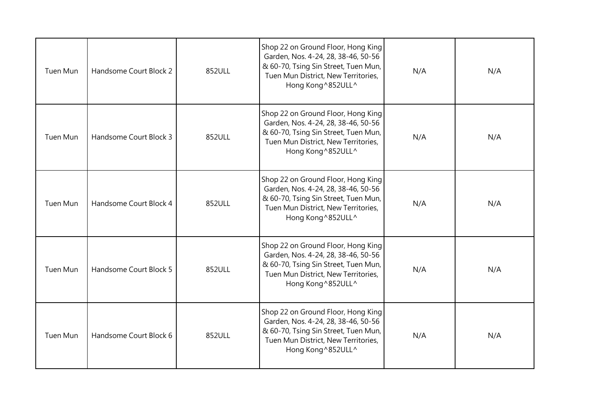| Tuen Mun        | Handsome Court Block 2 | 852ULL | Shop 22 on Ground Floor, Hong King<br>Garden, Nos. 4-24, 28, 38-46, 50-56<br>& 60-70, Tsing Sin Street, Tuen Mun,<br>Tuen Mun District, New Territories,<br>Hong Kong ^852ULL^ | N/A | N/A |
|-----------------|------------------------|--------|--------------------------------------------------------------------------------------------------------------------------------------------------------------------------------|-----|-----|
| <b>Tuen Mun</b> | Handsome Court Block 3 | 852ULL | Shop 22 on Ground Floor, Hong King<br>Garden, Nos. 4-24, 28, 38-46, 50-56<br>& 60-70, Tsing Sin Street, Tuen Mun,<br>Tuen Mun District, New Territories,<br>Hong Kong ^852ULL^ | N/A | N/A |
| <b>Tuen Mun</b> | Handsome Court Block 4 | 852ULL | Shop 22 on Ground Floor, Hong King<br>Garden, Nos. 4-24, 28, 38-46, 50-56<br>& 60-70, Tsing Sin Street, Tuen Mun,<br>Tuen Mun District, New Territories,<br>Hong Kong ^852ULL^ | N/A | N/A |
| Tuen Mun        | Handsome Court Block 5 | 852ULL | Shop 22 on Ground Floor, Hong King<br>Garden, Nos. 4-24, 28, 38-46, 50-56<br>& 60-70, Tsing Sin Street, Tuen Mun,<br>Tuen Mun District, New Territories,<br>Hong Kong ^852ULL^ | N/A | N/A |
| Tuen Mun        | Handsome Court Block 6 | 852ULL | Shop 22 on Ground Floor, Hong King<br>Garden, Nos. 4-24, 28, 38-46, 50-56<br>& 60-70, Tsing Sin Street, Tuen Mun,<br>Tuen Mun District, New Territories,<br>Hong Kong ^852ULL^ | N/A | N/A |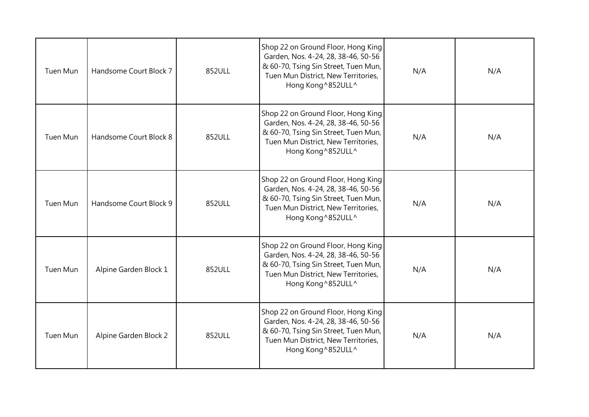| Tuen Mun        | Handsome Court Block 7 | 852ULL | Shop 22 on Ground Floor, Hong King<br>Garden, Nos. 4-24, 28, 38-46, 50-56<br>& 60-70, Tsing Sin Street, Tuen Mun,<br>Tuen Mun District, New Territories,<br>Hong Kong ^852ULL^ | N/A | N/A |
|-----------------|------------------------|--------|--------------------------------------------------------------------------------------------------------------------------------------------------------------------------------|-----|-----|
| <b>Tuen Mun</b> | Handsome Court Block 8 | 852ULL | Shop 22 on Ground Floor, Hong King<br>Garden, Nos. 4-24, 28, 38-46, 50-56<br>& 60-70, Tsing Sin Street, Tuen Mun,<br>Tuen Mun District, New Territories,<br>Hong Kong ^852ULL^ | N/A | N/A |
| <b>Tuen Mun</b> | Handsome Court Block 9 | 852ULL | Shop 22 on Ground Floor, Hong King<br>Garden, Nos. 4-24, 28, 38-46, 50-56<br>& 60-70, Tsing Sin Street, Tuen Mun,<br>Tuen Mun District, New Territories,<br>Hong Kong ^852ULL^ | N/A | N/A |
| Tuen Mun        | Alpine Garden Block 1  | 852ULL | Shop 22 on Ground Floor, Hong King<br>Garden, Nos. 4-24, 28, 38-46, 50-56<br>& 60-70, Tsing Sin Street, Tuen Mun,<br>Tuen Mun District, New Territories,<br>Hong Kong ^852ULL^ | N/A | N/A |
| Tuen Mun        | Alpine Garden Block 2  | 852ULL | Shop 22 on Ground Floor, Hong King<br>Garden, Nos. 4-24, 28, 38-46, 50-56<br>& 60-70, Tsing Sin Street, Tuen Mun,<br>Tuen Mun District, New Territories,<br>Hong Kong ^852ULL^ | N/A | N/A |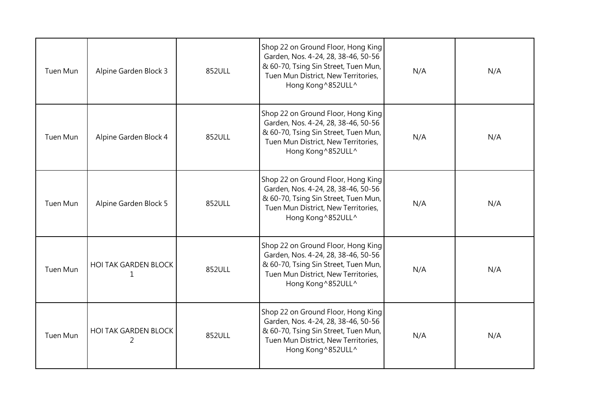| Tuen Mun        | Alpine Garden Block 3            | 852ULL | Shop 22 on Ground Floor, Hong King<br>Garden, Nos. 4-24, 28, 38-46, 50-56<br>& 60-70, Tsing Sin Street, Tuen Mun,<br>Tuen Mun District, New Territories,<br>Hong Kong ^852ULL^ | N/A | N/A |
|-----------------|----------------------------------|--------|--------------------------------------------------------------------------------------------------------------------------------------------------------------------------------|-----|-----|
| Tuen Mun        | Alpine Garden Block 4            | 852ULL | Shop 22 on Ground Floor, Hong King<br>Garden, Nos. 4-24, 28, 38-46, 50-56<br>& 60-70, Tsing Sin Street, Tuen Mun,<br>Tuen Mun District, New Territories,<br>Hong Kong ^852ULL^ | N/A | N/A |
| Tuen Mun        | Alpine Garden Block 5            | 852ULL | Shop 22 on Ground Floor, Hong King<br>Garden, Nos. 4-24, 28, 38-46, 50-56<br>& 60-70, Tsing Sin Street, Tuen Mun,<br>Tuen Mun District, New Territories,<br>Hong Kong ^852ULL^ | N/A | N/A |
| <b>Tuen Mun</b> | <b>HOI TAK GARDEN BLOCK</b><br>1 | 852ULL | Shop 22 on Ground Floor, Hong King<br>Garden, Nos. 4-24, 28, 38-46, 50-56<br>& 60-70, Tsing Sin Street, Tuen Mun,<br>Tuen Mun District, New Territories,<br>Hong Kong ^852ULL^ | N/A | N/A |
| <b>Tuen Mun</b> | <b>HOI TAK GARDEN BLOCK</b><br>2 | 852ULL | Shop 22 on Ground Floor, Hong King<br>Garden, Nos. 4-24, 28, 38-46, 50-56<br>& 60-70, Tsing Sin Street, Tuen Mun,<br>Tuen Mun District, New Territories,<br>Hong Kong ^852ULL^ | N/A | N/A |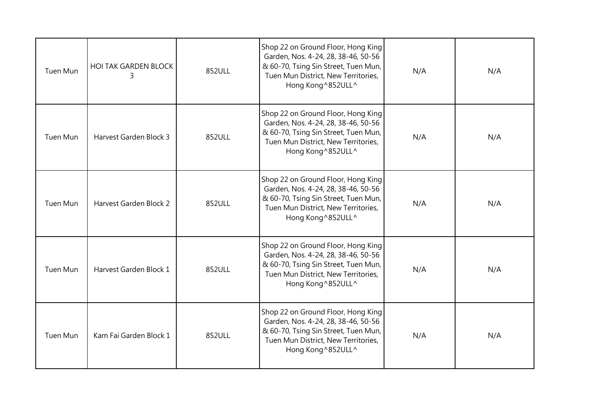| Tuen Mun        | <b>HOI TAK GARDEN BLOCK</b><br>3 | 852ULL | Shop 22 on Ground Floor, Hong King<br>Garden, Nos. 4-24, 28, 38-46, 50-56<br>& 60-70, Tsing Sin Street, Tuen Mun,<br>Tuen Mun District, New Territories,<br>Hong Kong ^852ULL^ | N/A | N/A |
|-----------------|----------------------------------|--------|--------------------------------------------------------------------------------------------------------------------------------------------------------------------------------|-----|-----|
| Tuen Mun        | Harvest Garden Block 3           | 852ULL | Shop 22 on Ground Floor, Hong King<br>Garden, Nos. 4-24, 28, 38-46, 50-56<br>& 60-70, Tsing Sin Street, Tuen Mun,<br>Tuen Mun District, New Territories,<br>Hong Kong ^852ULL^ | N/A | N/A |
| <b>Tuen Mun</b> | Harvest Garden Block 2           | 852ULL | Shop 22 on Ground Floor, Hong King<br>Garden, Nos. 4-24, 28, 38-46, 50-56<br>& 60-70, Tsing Sin Street, Tuen Mun,<br>Tuen Mun District, New Territories,<br>Hong Kong ^852ULL^ | N/A | N/A |
| Tuen Mun        | Harvest Garden Block 1           | 852ULL | Shop 22 on Ground Floor, Hong King<br>Garden, Nos. 4-24, 28, 38-46, 50-56<br>& 60-70, Tsing Sin Street, Tuen Mun,<br>Tuen Mun District, New Territories,<br>Hong Kong ^852ULL^ | N/A | N/A |
| Tuen Mun        | Kam Fai Garden Block 1           | 852ULL | Shop 22 on Ground Floor, Hong King<br>Garden, Nos. 4-24, 28, 38-46, 50-56<br>& 60-70, Tsing Sin Street, Tuen Mun,<br>Tuen Mun District, New Territories,<br>Hong Kong ^852ULL^ | N/A | N/A |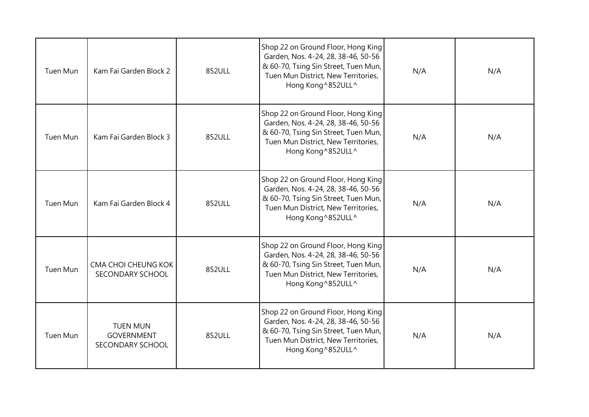| Tuen Mun        | Kam Fai Garden Block 2                                   | 852ULL | Shop 22 on Ground Floor, Hong King<br>Garden, Nos. 4-24, 28, 38-46, 50-56<br>& 60-70, Tsing Sin Street, Tuen Mun,<br>Tuen Mun District, New Territories,<br>Hong Kong ^852ULL^ | N/A | N/A |
|-----------------|----------------------------------------------------------|--------|--------------------------------------------------------------------------------------------------------------------------------------------------------------------------------|-----|-----|
| <b>Tuen Mun</b> | Kam Fai Garden Block 3                                   | 852ULL | Shop 22 on Ground Floor, Hong King<br>Garden, Nos. 4-24, 28, 38-46, 50-56<br>& 60-70, Tsing Sin Street, Tuen Mun,<br>Tuen Mun District, New Territories,<br>Hong Kong ^852ULL^ | N/A | N/A |
| Tuen Mun        | Kam Fai Garden Block 4                                   | 852ULL | Shop 22 on Ground Floor, Hong King<br>Garden, Nos. 4-24, 28, 38-46, 50-56<br>& 60-70, Tsing Sin Street, Tuen Mun,<br>Tuen Mun District, New Territories,<br>Hong Kong ^852ULL^ | N/A | N/A |
| <b>Tuen Mun</b> | CMA CHOI CHEUNG KOK<br>SECONDARY SCHOOL                  | 852ULL | Shop 22 on Ground Floor, Hong King<br>Garden, Nos. 4-24, 28, 38-46, 50-56<br>& 60-70, Tsing Sin Street, Tuen Mun,<br>Tuen Mun District, New Territories,<br>Hong Kong ^852ULL^ | N/A | N/A |
| Tuen Mun        | <b>TUEN MUN</b><br><b>GOVERNMENT</b><br>SECONDARY SCHOOL | 852ULL | Shop 22 on Ground Floor, Hong King<br>Garden, Nos. 4-24, 28, 38-46, 50-56<br>& 60-70, Tsing Sin Street, Tuen Mun,<br>Tuen Mun District, New Territories,<br>Hong Kong ^852ULL^ | N/A | N/A |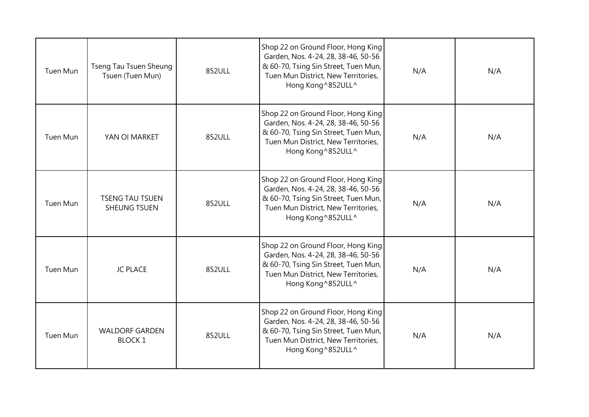| Tuen Mun        | <b>Tseng Tau Tsuen Sheung</b><br>Tsuen (Tuen Mun) | 852ULL | Shop 22 on Ground Floor, Hong King<br>Garden, Nos. 4-24, 28, 38-46, 50-56<br>& 60-70, Tsing Sin Street, Tuen Mun,<br>Tuen Mun District, New Territories,<br>Hong Kong ^852ULL^ | N/A | N/A |
|-----------------|---------------------------------------------------|--------|--------------------------------------------------------------------------------------------------------------------------------------------------------------------------------|-----|-----|
| <b>Tuen Mun</b> | YAN OI MARKET                                     | 852ULL | Shop 22 on Ground Floor, Hong King<br>Garden, Nos. 4-24, 28, 38-46, 50-56<br>& 60-70, Tsing Sin Street, Tuen Mun,<br>Tuen Mun District, New Territories,<br>Hong Kong ^852ULL^ | N/A | N/A |
| Tuen Mun        | <b>TSENG TAU TSUEN</b><br><b>SHEUNG TSUEN</b>     | 852ULL | Shop 22 on Ground Floor, Hong King<br>Garden, Nos. 4-24, 28, 38-46, 50-56<br>& 60-70, Tsing Sin Street, Tuen Mun,<br>Tuen Mun District, New Territories,<br>Hong Kong ^852ULL^ | N/A | N/A |
| Tuen Mun        | <b>JC PLACE</b>                                   | 852ULL | Shop 22 on Ground Floor, Hong King<br>Garden, Nos. 4-24, 28, 38-46, 50-56<br>& 60-70, Tsing Sin Street, Tuen Mun,<br>Tuen Mun District, New Territories,<br>Hong Kong ^852ULL^ | N/A | N/A |
| Tuen Mun        | <b>WALDORF GARDEN</b><br><b>BLOCK1</b>            | 852ULL | Shop 22 on Ground Floor, Hong King<br>Garden, Nos. 4-24, 28, 38-46, 50-56<br>& 60-70, Tsing Sin Street, Tuen Mun,<br>Tuen Mun District, New Territories,<br>Hong Kong ^852ULL^ | N/A | N/A |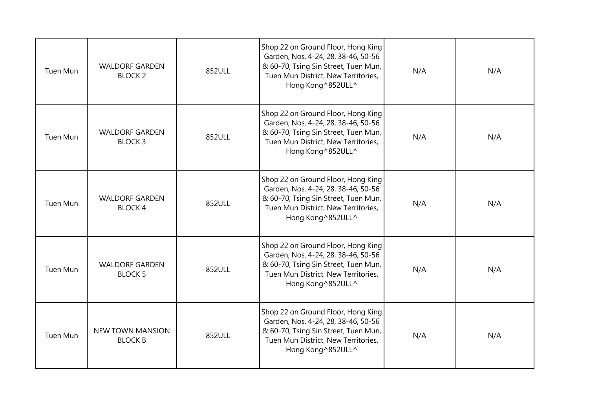| Tuen Mun        | <b>WALDORF GARDEN</b><br><b>BLOCK 2</b>   | 852ULL | Shop 22 on Ground Floor, Hong King<br>Garden, Nos. 4-24, 28, 38-46, 50-56<br>& 60-70, Tsing Sin Street, Tuen Mun,<br>Tuen Mun District, New Territories,<br>Hong Kong ^852ULL^ | N/A | N/A |
|-----------------|-------------------------------------------|--------|--------------------------------------------------------------------------------------------------------------------------------------------------------------------------------|-----|-----|
| Tuen Mun        | <b>WALDORF GARDEN</b><br><b>BLOCK3</b>    | 852ULL | Shop 22 on Ground Floor, Hong King<br>Garden, Nos. 4-24, 28, 38-46, 50-56<br>& 60-70, Tsing Sin Street, Tuen Mun,<br>Tuen Mun District, New Territories,<br>Hong Kong ^852ULL^ | N/A | N/A |
| Tuen Mun        | <b>WALDORF GARDEN</b><br><b>BLOCK4</b>    | 852ULL | Shop 22 on Ground Floor, Hong King<br>Garden, Nos. 4-24, 28, 38-46, 50-56<br>& 60-70, Tsing Sin Street, Tuen Mun,<br>Tuen Mun District, New Territories,<br>Hong Kong ^852ULL^ | N/A | N/A |
| <b>Tuen Mun</b> | <b>WALDORF GARDEN</b><br><b>BLOCK 5</b>   | 852ULL | Shop 22 on Ground Floor, Hong King<br>Garden, Nos. 4-24, 28, 38-46, 50-56<br>& 60-70, Tsing Sin Street, Tuen Mun,<br>Tuen Mun District, New Territories,<br>Hong Kong ^852ULL^ | N/A | N/A |
| Tuen Mun        | <b>NEW TOWN MANSION</b><br><b>BLOCK B</b> | 852ULL | Shop 22 on Ground Floor, Hong King<br>Garden, Nos. 4-24, 28, 38-46, 50-56<br>& 60-70, Tsing Sin Street, Tuen Mun,<br>Tuen Mun District, New Territories,<br>Hong Kong ^852ULL^ | N/A | N/A |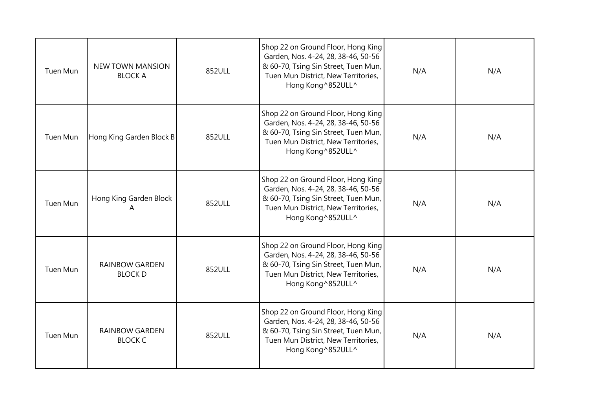| Tuen Mun        | <b>NEW TOWN MANSION</b><br><b>BLOCK A</b> | 852ULL | Shop 22 on Ground Floor, Hong King<br>Garden, Nos. 4-24, 28, 38-46, 50-56<br>& 60-70, Tsing Sin Street, Tuen Mun,<br>Tuen Mun District, New Territories,<br>Hong Kong ^852ULL^ | N/A | N/A |
|-----------------|-------------------------------------------|--------|--------------------------------------------------------------------------------------------------------------------------------------------------------------------------------|-----|-----|
| Tuen Mun        | Hong King Garden Block B                  | 852ULL | Shop 22 on Ground Floor, Hong King<br>Garden, Nos. 4-24, 28, 38-46, 50-56<br>& 60-70, Tsing Sin Street, Tuen Mun,<br>Tuen Mun District, New Territories,<br>Hong Kong ^852ULL^ | N/A | N/A |
| Tuen Mun        | Hong King Garden Block<br>A               | 852ULL | Shop 22 on Ground Floor, Hong King<br>Garden, Nos. 4-24, 28, 38-46, 50-56<br>& 60-70, Tsing Sin Street, Tuen Mun,<br>Tuen Mun District, New Territories,<br>Hong Kong ^852ULL^ | N/A | N/A |
| <b>Tuen Mun</b> | <b>RAINBOW GARDEN</b><br><b>BLOCK D</b>   | 852ULL | Shop 22 on Ground Floor, Hong King<br>Garden, Nos. 4-24, 28, 38-46, 50-56<br>& 60-70, Tsing Sin Street, Tuen Mun,<br>Tuen Mun District, New Territories,<br>Hong Kong ^852ULL^ | N/A | N/A |
| Tuen Mun        | <b>RAINBOW GARDEN</b><br><b>BLOCK C</b>   | 852ULL | Shop 22 on Ground Floor, Hong King<br>Garden, Nos. 4-24, 28, 38-46, 50-56<br>& 60-70, Tsing Sin Street, Tuen Mun,<br>Tuen Mun District, New Territories,<br>Hong Kong ^852ULL^ | N/A | N/A |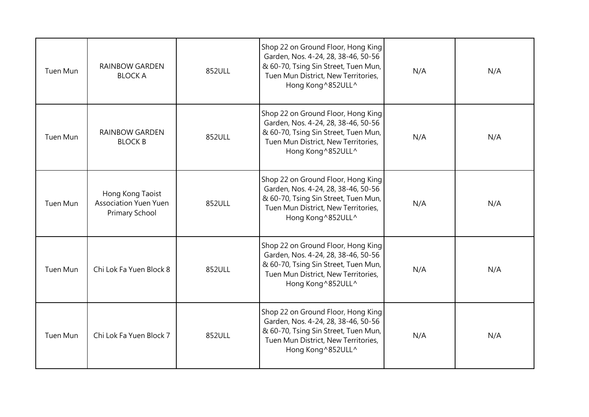| Tuen Mun | <b>RAINBOW GARDEN</b><br><b>BLOCK A</b>                            | 852ULL | Shop 22 on Ground Floor, Hong King<br>Garden, Nos. 4-24, 28, 38-46, 50-56<br>& 60-70, Tsing Sin Street, Tuen Mun,<br>Tuen Mun District, New Territories,<br>Hong Kong ^852ULL^ | N/A | N/A |
|----------|--------------------------------------------------------------------|--------|--------------------------------------------------------------------------------------------------------------------------------------------------------------------------------|-----|-----|
| Tuen Mun | <b>RAINBOW GARDEN</b><br><b>BLOCK B</b>                            | 852ULL | Shop 22 on Ground Floor, Hong King<br>Garden, Nos. 4-24, 28, 38-46, 50-56<br>& 60-70, Tsing Sin Street, Tuen Mun,<br>Tuen Mun District, New Territories,<br>Hong Kong ^852ULL^ | N/A | N/A |
| Tuen Mun | Hong Kong Taoist<br><b>Association Yuen Yuen</b><br>Primary School | 852ULL | Shop 22 on Ground Floor, Hong King<br>Garden, Nos. 4-24, 28, 38-46, 50-56<br>& 60-70, Tsing Sin Street, Tuen Mun,<br>Tuen Mun District, New Territories,<br>Hong Kong ^852ULL^ | N/A | N/A |
| Tuen Mun | Chi Lok Fa Yuen Block 8                                            | 852ULL | Shop 22 on Ground Floor, Hong King<br>Garden, Nos. 4-24, 28, 38-46, 50-56<br>& 60-70, Tsing Sin Street, Tuen Mun,<br>Tuen Mun District, New Territories,<br>Hong Kong ^852ULL^ | N/A | N/A |
| Tuen Mun | Chi Lok Fa Yuen Block 7                                            | 852ULL | Shop 22 on Ground Floor, Hong King<br>Garden, Nos. 4-24, 28, 38-46, 50-56<br>& 60-70, Tsing Sin Street, Tuen Mun,<br>Tuen Mun District, New Territories,<br>Hong Kong ^852ULL^ | N/A | N/A |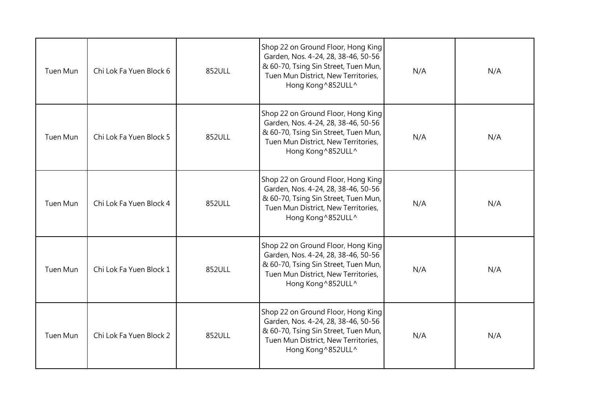| Tuen Mun        | Chi Lok Fa Yuen Block 6 | 852ULL | Shop 22 on Ground Floor, Hong King<br>Garden, Nos. 4-24, 28, 38-46, 50-56<br>& 60-70, Tsing Sin Street, Tuen Mun,<br>Tuen Mun District, New Territories,<br>Hong Kong ^852ULL^ | N/A | N/A |
|-----------------|-------------------------|--------|--------------------------------------------------------------------------------------------------------------------------------------------------------------------------------|-----|-----|
| <b>Tuen Mun</b> | Chi Lok Fa Yuen Block 5 | 852ULL | Shop 22 on Ground Floor, Hong King<br>Garden, Nos. 4-24, 28, 38-46, 50-56<br>& 60-70, Tsing Sin Street, Tuen Mun,<br>Tuen Mun District, New Territories,<br>Hong Kong ^852ULL^ | N/A | N/A |
| <b>Tuen Mun</b> | Chi Lok Fa Yuen Block 4 | 852ULL | Shop 22 on Ground Floor, Hong King<br>Garden, Nos. 4-24, 28, 38-46, 50-56<br>& 60-70, Tsing Sin Street, Tuen Mun,<br>Tuen Mun District, New Territories,<br>Hong Kong ^852ULL^ | N/A | N/A |
| Tuen Mun        | Chi Lok Fa Yuen Block 1 | 852ULL | Shop 22 on Ground Floor, Hong King<br>Garden, Nos. 4-24, 28, 38-46, 50-56<br>& 60-70, Tsing Sin Street, Tuen Mun,<br>Tuen Mun District, New Territories,<br>Hong Kong ^852ULL^ | N/A | N/A |
| Tuen Mun        | Chi Lok Fa Yuen Block 2 | 852ULL | Shop 22 on Ground Floor, Hong King<br>Garden, Nos. 4-24, 28, 38-46, 50-56<br>& 60-70, Tsing Sin Street, Tuen Mun,<br>Tuen Mun District, New Territories,<br>Hong Kong ^852ULL^ | N/A | N/A |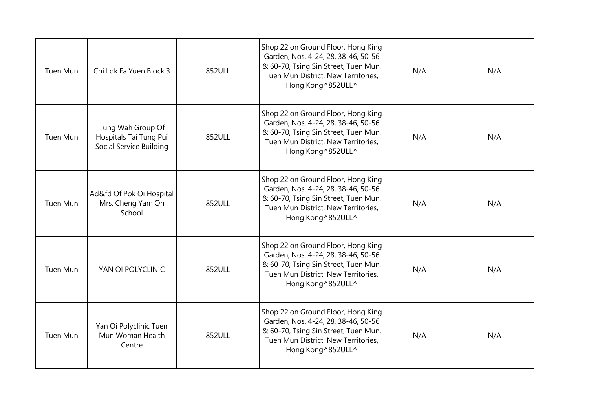| Tuen Mun        | Chi Lok Fa Yuen Block 3                                                | 852ULL | Shop 22 on Ground Floor, Hong King<br>Garden, Nos. 4-24, 28, 38-46, 50-56<br>& 60-70, Tsing Sin Street, Tuen Mun,<br>Tuen Mun District, New Territories,<br>Hong Kong ^852ULL^ | N/A | N/A |
|-----------------|------------------------------------------------------------------------|--------|--------------------------------------------------------------------------------------------------------------------------------------------------------------------------------|-----|-----|
| <b>Tuen Mun</b> | Tung Wah Group Of<br>Hospitals Tai Tung Pui<br>Social Service Building | 852ULL | Shop 22 on Ground Floor, Hong King<br>Garden, Nos. 4-24, 28, 38-46, 50-56<br>& 60-70, Tsing Sin Street, Tuen Mun,<br>Tuen Mun District, New Territories,<br>Hong Kong ^852ULL^ | N/A | N/A |
| Tuen Mun        | Ad&fd Of Pok Oi Hospital<br>Mrs. Cheng Yam On<br>School                | 852ULL | Shop 22 on Ground Floor, Hong King<br>Garden, Nos. 4-24, 28, 38-46, 50-56<br>& 60-70, Tsing Sin Street, Tuen Mun,<br>Tuen Mun District, New Territories,<br>Hong Kong ^852ULL^ | N/A | N/A |
| <b>Tuen Mun</b> | YAN OI POLYCLINIC                                                      | 852ULL | Shop 22 on Ground Floor, Hong King<br>Garden, Nos. 4-24, 28, 38-46, 50-56<br>& 60-70, Tsing Sin Street, Tuen Mun,<br>Tuen Mun District, New Territories,<br>Hong Kong ^852ULL^ | N/A | N/A |
| Tuen Mun        | Yan Oi Polyclinic Tuen<br>Mun Woman Health<br>Centre                   | 852ULL | Shop 22 on Ground Floor, Hong King<br>Garden, Nos. 4-24, 28, 38-46, 50-56<br>& 60-70, Tsing Sin Street, Tuen Mun,<br>Tuen Mun District, New Territories,<br>Hong Kong ^852ULL^ | N/A | N/A |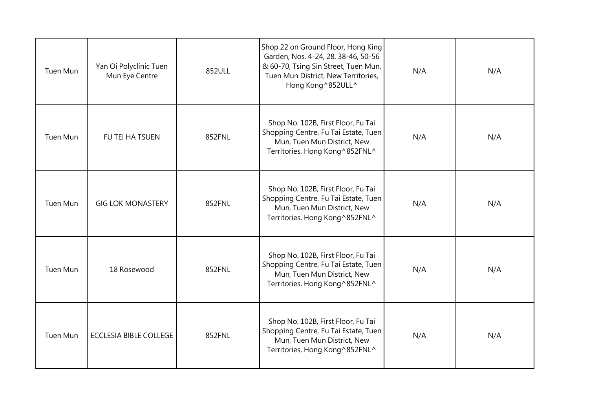| Tuen Mun | Yan Oi Polyclinic Tuen<br>Mun Eye Centre | 852ULL | Shop 22 on Ground Floor, Hong King<br>Garden, Nos. 4-24, 28, 38-46, 50-56<br>& 60-70, Tsing Sin Street, Tuen Mun,<br>Tuen Mun District, New Territories,<br>Hong Kong ^852ULL^ | N/A | N/A |
|----------|------------------------------------------|--------|--------------------------------------------------------------------------------------------------------------------------------------------------------------------------------|-----|-----|
| Tuen Mun | FU TEI HA TSUEN                          | 852FNL | Shop No. 102B, First Floor, Fu Tai<br>Shopping Centre, Fu Tai Estate, Tuen<br>Mun, Tuen Mun District, New<br>Territories, Hong Kong ^852FNL^                                   | N/A | N/A |
| Tuen Mun | <b>GIG LOK MONASTERY</b>                 | 852FNL | Shop No. 102B, First Floor, Fu Tai<br>Shopping Centre, Fu Tai Estate, Tuen<br>Mun, Tuen Mun District, New<br>Territories, Hong Kong ^852FNL^                                   | N/A | N/A |
| Tuen Mun | 18 Rosewood                              | 852FNL | Shop No. 102B, First Floor, Fu Tai<br>Shopping Centre, Fu Tai Estate, Tuen<br>Mun, Tuen Mun District, New<br>Territories, Hong Kong ^852FNL^                                   | N/A | N/A |
| Tuen Mun | <b>ECCLESIA BIBLE COLLEGE</b>            | 852FNL | Shop No. 102B, First Floor, Fu Tai<br>Shopping Centre, Fu Tai Estate, Tuen<br>Mun, Tuen Mun District, New<br>Territories, Hong Kong ^852FNL^                                   | N/A | N/A |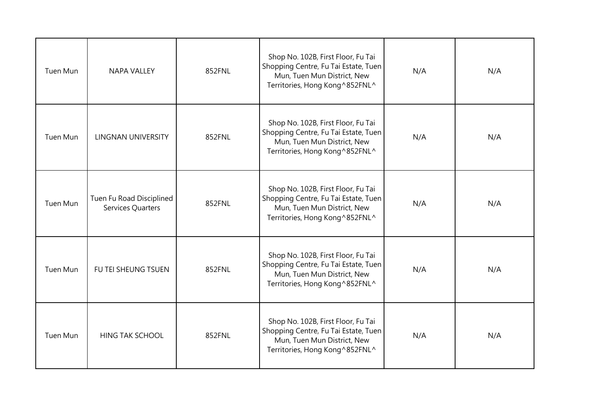| Tuen Mun        | <b>NAPA VALLEY</b>                            | 852FNL | Shop No. 102B, First Floor, Fu Tai<br>Shopping Centre, Fu Tai Estate, Tuen<br>Mun, Tuen Mun District, New<br>Territories, Hong Kong ^852FNL^ | N/A | N/A |
|-----------------|-----------------------------------------------|--------|----------------------------------------------------------------------------------------------------------------------------------------------|-----|-----|
| <b>Tuen Mun</b> | <b>LINGNAN UNIVERSITY</b>                     | 852FNL | Shop No. 102B, First Floor, Fu Tai<br>Shopping Centre, Fu Tai Estate, Tuen<br>Mun, Tuen Mun District, New<br>Territories, Hong Kong ^852FNL^ | N/A | N/A |
| Tuen Mun        | Tuen Fu Road Disciplined<br>Services Quarters | 852FNL | Shop No. 102B, First Floor, Fu Tai<br>Shopping Centre, Fu Tai Estate, Tuen<br>Mun, Tuen Mun District, New<br>Territories, Hong Kong ^852FNL^ | N/A | N/A |
| <b>Tuen Mun</b> | FU TEI SHEUNG TSUEN                           | 852FNL | Shop No. 102B, First Floor, Fu Tai<br>Shopping Centre, Fu Tai Estate, Tuen<br>Mun, Tuen Mun District, New<br>Territories, Hong Kong ^852FNL^ | N/A | N/A |
| Tuen Mun        | <b>HING TAK SCHOOL</b>                        | 852FNL | Shop No. 102B, First Floor, Fu Tai<br>Shopping Centre, Fu Tai Estate, Tuen<br>Mun, Tuen Mun District, New<br>Territories, Hong Kong ^852FNL^ | N/A | N/A |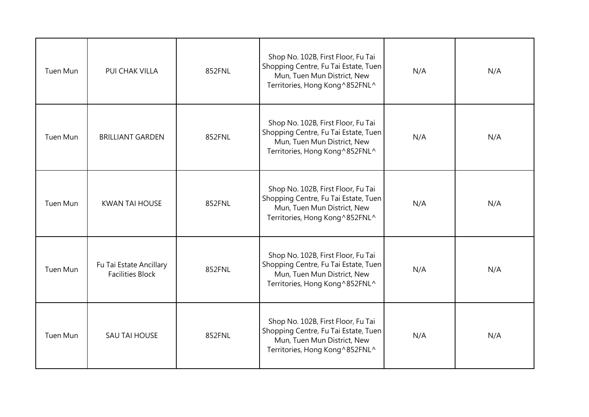| Tuen Mun        | PUI CHAK VILLA                                     | 852FNL | Shop No. 102B, First Floor, Fu Tai<br>Shopping Centre, Fu Tai Estate, Tuen<br>Mun, Tuen Mun District, New<br>Territories, Hong Kong ^852FNL^ | N/A | N/A |
|-----------------|----------------------------------------------------|--------|----------------------------------------------------------------------------------------------------------------------------------------------|-----|-----|
| <b>Tuen Mun</b> | <b>BRILLIANT GARDEN</b>                            | 852FNL | Shop No. 102B, First Floor, Fu Tai<br>Shopping Centre, Fu Tai Estate, Tuen<br>Mun, Tuen Mun District, New<br>Territories, Hong Kong ^852FNL^ | N/A | N/A |
| Tuen Mun        | <b>KWAN TAI HOUSE</b>                              | 852FNL | Shop No. 102B, First Floor, Fu Tai<br>Shopping Centre, Fu Tai Estate, Tuen<br>Mun, Tuen Mun District, New<br>Territories, Hong Kong ^852FNL^ | N/A | N/A |
| Tuen Mun        | Fu Tai Estate Ancillary<br><b>Facilities Block</b> | 852FNL | Shop No. 102B, First Floor, Fu Tai<br>Shopping Centre, Fu Tai Estate, Tuen<br>Mun, Tuen Mun District, New<br>Territories, Hong Kong ^852FNL^ | N/A | N/A |
| Tuen Mun        | SAU TAI HOUSE                                      | 852FNL | Shop No. 102B, First Floor, Fu Tai<br>Shopping Centre, Fu Tai Estate, Tuen<br>Mun, Tuen Mun District, New<br>Territories, Hong Kong ^852FNL^ | N/A | N/A |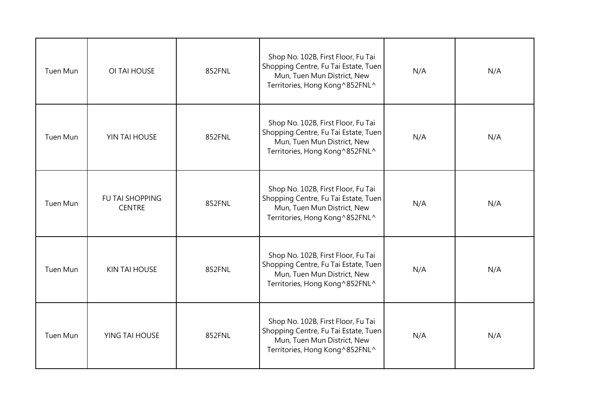| Tuen Mun        | OI TAI HOUSE                            | 852FNL | Shop No. 102B, First Floor, Fu Tai<br>Shopping Centre, Fu Tai Estate, Tuen<br>Mun, Tuen Mun District, New<br>Territories, Hong Kong ^852FNL^ | N/A | N/A |
|-----------------|-----------------------------------------|--------|----------------------------------------------------------------------------------------------------------------------------------------------|-----|-----|
| Tuen Mun        | YIN TAI HOUSE                           | 852FNL | Shop No. 102B, First Floor, Fu Tai<br>Shopping Centre, Fu Tai Estate, Tuen<br>Mun, Tuen Mun District, New<br>Territories, Hong Kong ^852FNL^ | N/A | N/A |
| Tuen Mun        | <b>FU TAI SHOPPING</b><br><b>CENTRE</b> | 852FNL | Shop No. 102B, First Floor, Fu Tai<br>Shopping Centre, Fu Tai Estate, Tuen<br>Mun, Tuen Mun District, New<br>Territories, Hong Kong ^852FNL^ | N/A | N/A |
| <b>Tuen Mun</b> | <b>KIN TAI HOUSE</b>                    | 852FNL | Shop No. 102B, First Floor, Fu Tai<br>Shopping Centre, Fu Tai Estate, Tuen<br>Mun, Tuen Mun District, New<br>Territories, Hong Kong ^852FNL^ | N/A | N/A |
| Tuen Mun        | YING TAI HOUSE                          | 852FNL | Shop No. 102B, First Floor, Fu Tai<br>Shopping Centre, Fu Tai Estate, Tuen<br>Mun, Tuen Mun District, New<br>Territories, Hong Kong ^852FNL^ | N/A | N/A |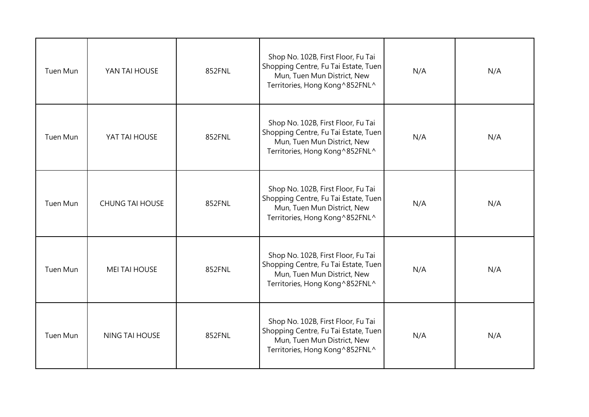| Tuen Mun        | YAN TAI HOUSE          | 852FNL | Shop No. 102B, First Floor, Fu Tai<br>Shopping Centre, Fu Tai Estate, Tuen<br>Mun, Tuen Mun District, New<br>Territories, Hong Kong ^852FNL^ | N/A | N/A |
|-----------------|------------------------|--------|----------------------------------------------------------------------------------------------------------------------------------------------|-----|-----|
| Tuen Mun        | YAT TAI HOUSE          | 852FNL | Shop No. 102B, First Floor, Fu Tai<br>Shopping Centre, Fu Tai Estate, Tuen<br>Mun, Tuen Mun District, New<br>Territories, Hong Kong ^852FNL^ | N/A | N/A |
| Tuen Mun        | <b>CHUNG TAI HOUSE</b> | 852FNL | Shop No. 102B, First Floor, Fu Tai<br>Shopping Centre, Fu Tai Estate, Tuen<br>Mun, Tuen Mun District, New<br>Territories, Hong Kong ^852FNL^ | N/A | N/A |
| <b>Tuen Mun</b> | <b>MEI TAI HOUSE</b>   | 852FNL | Shop No. 102B, First Floor, Fu Tai<br>Shopping Centre, Fu Tai Estate, Tuen<br>Mun, Tuen Mun District, New<br>Territories, Hong Kong ^852FNL^ | N/A | N/A |
| Tuen Mun        | <b>NING TAI HOUSE</b>  | 852FNL | Shop No. 102B, First Floor, Fu Tai<br>Shopping Centre, Fu Tai Estate, Tuen<br>Mun, Tuen Mun District, New<br>Territories, Hong Kong ^852FNL^ | N/A | N/A |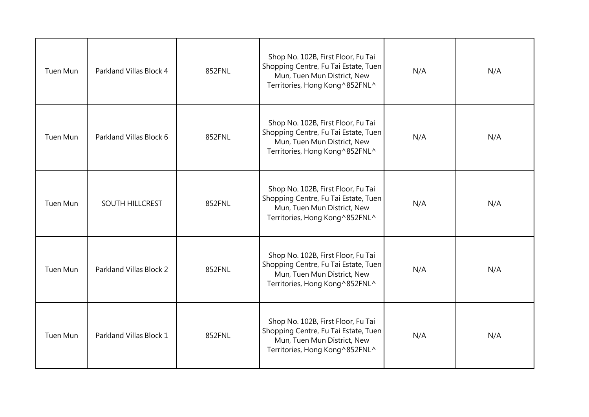| Tuen Mun        | Parkland Villas Block 4 | 852FNL | Shop No. 102B, First Floor, Fu Tai<br>Shopping Centre, Fu Tai Estate, Tuen<br>Mun, Tuen Mun District, New<br>Territories, Hong Kong ^852FNL^ | N/A | N/A |
|-----------------|-------------------------|--------|----------------------------------------------------------------------------------------------------------------------------------------------|-----|-----|
| <b>Tuen Mun</b> | Parkland Villas Block 6 | 852FNL | Shop No. 102B, First Floor, Fu Tai<br>Shopping Centre, Fu Tai Estate, Tuen<br>Mun, Tuen Mun District, New<br>Territories, Hong Kong^852FNL^  | N/A | N/A |
| Tuen Mun        | SOUTH HILLCREST         | 852FNL | Shop No. 102B, First Floor, Fu Tai<br>Shopping Centre, Fu Tai Estate, Tuen<br>Mun, Tuen Mun District, New<br>Territories, Hong Kong ^852FNL^ | N/A | N/A |
| <b>Tuen Mun</b> | Parkland Villas Block 2 | 852FNL | Shop No. 102B, First Floor, Fu Tai<br>Shopping Centre, Fu Tai Estate, Tuen<br>Mun, Tuen Mun District, New<br>Territories, Hong Kong ^852FNL^ | N/A | N/A |
| Tuen Mun        | Parkland Villas Block 1 | 852FNL | Shop No. 102B, First Floor, Fu Tai<br>Shopping Centre, Fu Tai Estate, Tuen<br>Mun, Tuen Mun District, New<br>Territories, Hong Kong ^852FNL^ | N/A | N/A |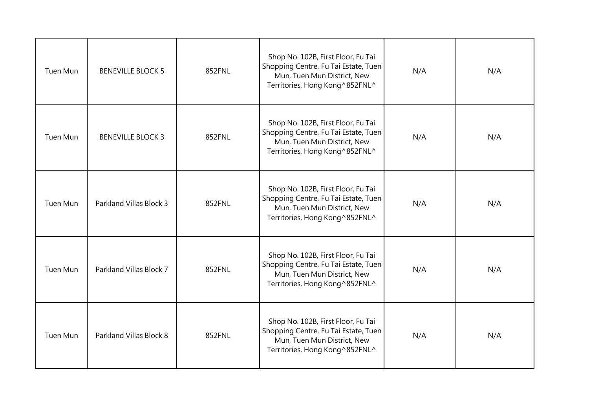| Tuen Mun        | <b>BENEVILLE BLOCK 5</b> | 852FNL | Shop No. 102B, First Floor, Fu Tai<br>Shopping Centre, Fu Tai Estate, Tuen<br>Mun, Tuen Mun District, New<br>Territories, Hong Kong ^852FNL^ | N/A | N/A |
|-----------------|--------------------------|--------|----------------------------------------------------------------------------------------------------------------------------------------------|-----|-----|
| Tuen Mun        | <b>BENEVILLE BLOCK 3</b> | 852FNL | Shop No. 102B, First Floor, Fu Tai<br>Shopping Centre, Fu Tai Estate, Tuen<br>Mun, Tuen Mun District, New<br>Territories, Hong Kong ^852FNL^ | N/A | N/A |
| Tuen Mun        | Parkland Villas Block 3  | 852FNL | Shop No. 102B, First Floor, Fu Tai<br>Shopping Centre, Fu Tai Estate, Tuen<br>Mun, Tuen Mun District, New<br>Territories, Hong Kong ^852FNL^ | N/A | N/A |
| <b>Tuen Mun</b> | Parkland Villas Block 7  | 852FNL | Shop No. 102B, First Floor, Fu Tai<br>Shopping Centre, Fu Tai Estate, Tuen<br>Mun, Tuen Mun District, New<br>Territories, Hong Kong ^852FNL^ | N/A | N/A |
| Tuen Mun        | Parkland Villas Block 8  | 852FNL | Shop No. 102B, First Floor, Fu Tai<br>Shopping Centre, Fu Tai Estate, Tuen<br>Mun, Tuen Mun District, New<br>Territories, Hong Kong ^852FNL^ | N/A | N/A |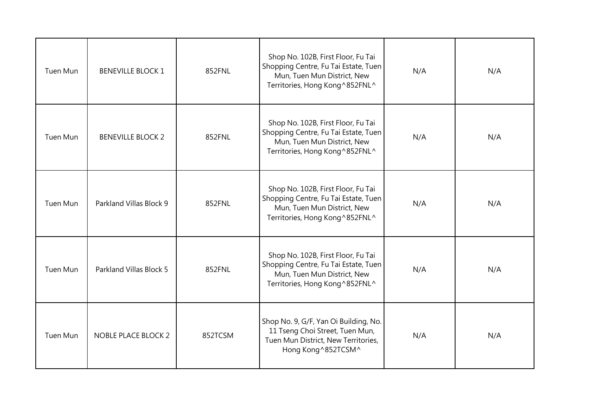| Tuen Mun | <b>BENEVILLE BLOCK 1</b>   | 852FNL  | Shop No. 102B, First Floor, Fu Tai<br>Shopping Centre, Fu Tai Estate, Tuen<br>Mun, Tuen Mun District, New<br>Territories, Hong Kong ^852FNL^ | N/A | N/A |
|----------|----------------------------|---------|----------------------------------------------------------------------------------------------------------------------------------------------|-----|-----|
| Tuen Mun | <b>BENEVILLE BLOCK 2</b>   | 852FNL  | Shop No. 102B, First Floor, Fu Tai<br>Shopping Centre, Fu Tai Estate, Tuen<br>Mun, Tuen Mun District, New<br>Territories, Hong Kong ^852FNL^ | N/A | N/A |
| Tuen Mun | Parkland Villas Block 9    | 852FNL  | Shop No. 102B, First Floor, Fu Tai<br>Shopping Centre, Fu Tai Estate, Tuen<br>Mun, Tuen Mun District, New<br>Territories, Hong Kong ^852FNL^ | N/A | N/A |
| Tuen Mun | Parkland Villas Block 5    | 852FNL  | Shop No. 102B, First Floor, Fu Tai<br>Shopping Centre, Fu Tai Estate, Tuen<br>Mun, Tuen Mun District, New<br>Territories, Hong Kong ^852FNL^ | N/A | N/A |
| Tuen Mun | <b>NOBLE PLACE BLOCK 2</b> | 852TCSM | Shop No. 9, G/F, Yan Oi Building, No.<br>11 Tseng Choi Street, Tuen Mun,<br>Tuen Mun District, New Territories,<br>Hong Kong ^852TCSM^       | N/A | N/A |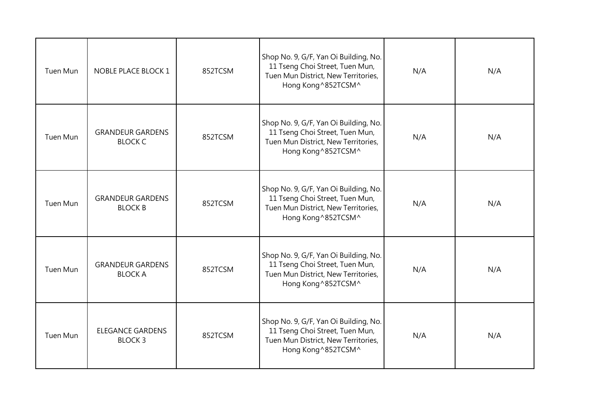| Tuen Mun        | NOBLE PLACE BLOCK 1                       | 852TCSM | Shop No. 9, G/F, Yan Oi Building, No.<br>11 Tseng Choi Street, Tuen Mun,<br>Tuen Mun District, New Territories,<br>Hong Kong ^852TCSM^ | N/A | N/A |
|-----------------|-------------------------------------------|---------|----------------------------------------------------------------------------------------------------------------------------------------|-----|-----|
| Tuen Mun        | <b>GRANDEUR GARDENS</b><br><b>BLOCK C</b> | 852TCSM | Shop No. 9, G/F, Yan Oi Building, No.<br>11 Tseng Choi Street, Tuen Mun,<br>Tuen Mun District, New Territories,<br>Hong Kong ^852TCSM^ | N/A | N/A |
| Tuen Mun        | <b>GRANDEUR GARDENS</b><br><b>BLOCK B</b> | 852TCSM | Shop No. 9, G/F, Yan Oi Building, No.<br>11 Tseng Choi Street, Tuen Mun,<br>Tuen Mun District, New Territories,<br>Hong Kong ^852TCSM^ | N/A | N/A |
| <b>Tuen Mun</b> | <b>GRANDEUR GARDENS</b><br><b>BLOCK A</b> | 852TCSM | Shop No. 9, G/F, Yan Oi Building, No.<br>11 Tseng Choi Street, Tuen Mun,<br>Tuen Mun District, New Territories,<br>Hong Kong ^852TCSM^ | N/A | N/A |
| Tuen Mun        | <b>ELEGANCE GARDENS</b><br><b>BLOCK3</b>  | 852TCSM | Shop No. 9, G/F, Yan Oi Building, No.<br>11 Tseng Choi Street, Tuen Mun,<br>Tuen Mun District, New Territories,<br>Hong Kong ^852TCSM^ | N/A | N/A |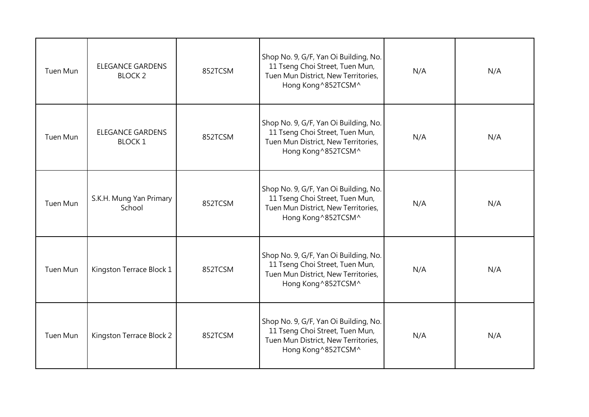| Tuen Mun        | <b>ELEGANCE GARDENS</b><br><b>BLOCK 2</b> | 852TCSM | Shop No. 9, G/F, Yan Oi Building, No.<br>11 Tseng Choi Street, Tuen Mun,<br>Tuen Mun District, New Territories,<br>Hong Kong ^852TCSM^ | N/A | N/A |
|-----------------|-------------------------------------------|---------|----------------------------------------------------------------------------------------------------------------------------------------|-----|-----|
| Tuen Mun        | <b>ELEGANCE GARDENS</b><br><b>BLOCK1</b>  | 852TCSM | Shop No. 9, G/F, Yan Oi Building, No.<br>11 Tseng Choi Street, Tuen Mun,<br>Tuen Mun District, New Territories,<br>Hong Kong ^852TCSM^ | N/A | N/A |
| <b>Tuen Mun</b> | S.K.H. Mung Yan Primary<br>School         | 852TCSM | Shop No. 9, G/F, Yan Oi Building, No.<br>11 Tseng Choi Street, Tuen Mun,<br>Tuen Mun District, New Territories,<br>Hong Kong ^852TCSM^ | N/A | N/A |
| Tuen Mun        | Kingston Terrace Block 1                  | 852TCSM | Shop No. 9, G/F, Yan Oi Building, No.<br>11 Tseng Choi Street, Tuen Mun,<br>Tuen Mun District, New Territories,<br>Hong Kong ^852TCSM^ | N/A | N/A |
| Tuen Mun        | Kingston Terrace Block 2                  | 852TCSM | Shop No. 9, G/F, Yan Oi Building, No.<br>11 Tseng Choi Street, Tuen Mun,<br>Tuen Mun District, New Territories,<br>Hong Kong ^852TCSM^ | N/A | N/A |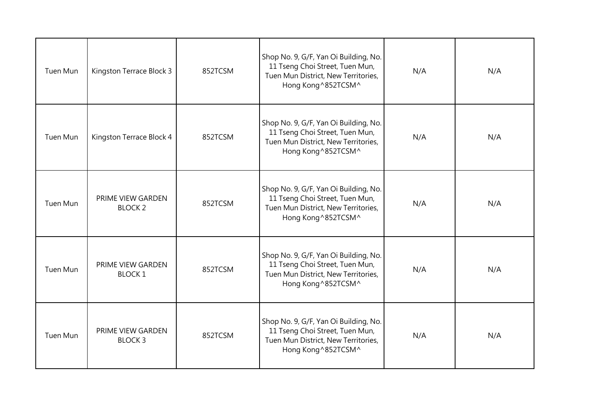| Tuen Mun        | Kingston Terrace Block 3            | 852TCSM | Shop No. 9, G/F, Yan Oi Building, No.<br>11 Tseng Choi Street, Tuen Mun,<br>Tuen Mun District, New Territories,<br>Hong Kong ^852TCSM^ | N/A | N/A |
|-----------------|-------------------------------------|---------|----------------------------------------------------------------------------------------------------------------------------------------|-----|-----|
| Tuen Mun        | Kingston Terrace Block 4            | 852TCSM | Shop No. 9, G/F, Yan Oi Building, No.<br>11 Tseng Choi Street, Tuen Mun,<br>Tuen Mun District, New Territories,<br>Hong Kong ^852TCSM^ | N/A | N/A |
| Tuen Mun        | PRIME VIEW GARDEN<br><b>BLOCK 2</b> | 852TCSM | Shop No. 9, G/F, Yan Oi Building, No.<br>11 Tseng Choi Street, Tuen Mun,<br>Tuen Mun District, New Territories,<br>Hong Kong ^852TCSM^ | N/A | N/A |
| <b>Tuen Mun</b> | PRIME VIEW GARDEN<br><b>BLOCK1</b>  | 852TCSM | Shop No. 9, G/F, Yan Oi Building, No.<br>11 Tseng Choi Street, Tuen Mun,<br>Tuen Mun District, New Territories,<br>Hong Kong ^852TCSM^ | N/A | N/A |
| <b>Tuen Mun</b> | PRIME VIEW GARDEN<br><b>BLOCK3</b>  | 852TCSM | Shop No. 9, G/F, Yan Oi Building, No.<br>11 Tseng Choi Street, Tuen Mun,<br>Tuen Mun District, New Territories,<br>Hong Kong ^852TCSM^ | N/A | N/A |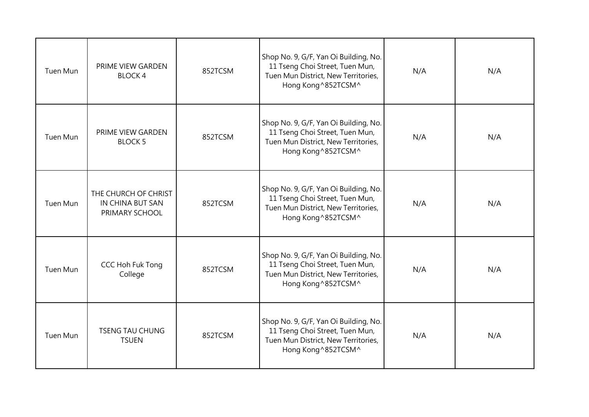| Tuen Mun        | <b>PRIME VIEW GARDEN</b><br><b>BLOCK4</b>                  | 852TCSM | Shop No. 9, G/F, Yan Oi Building, No.<br>11 Tseng Choi Street, Tuen Mun,<br>Tuen Mun District, New Territories,<br>Hong Kong ^852TCSM^ | N/A | N/A |
|-----------------|------------------------------------------------------------|---------|----------------------------------------------------------------------------------------------------------------------------------------|-----|-----|
| Tuen Mun        | PRIME VIEW GARDEN<br><b>BLOCK 5</b>                        | 852TCSM | Shop No. 9, G/F, Yan Oi Building, No.<br>11 Tseng Choi Street, Tuen Mun,<br>Tuen Mun District, New Territories,<br>Hong Kong ^852TCSM^ | N/A | N/A |
| Tuen Mun        | THE CHURCH OF CHRIST<br>IN CHINA BUT SAN<br>PRIMARY SCHOOL | 852TCSM | Shop No. 9, G/F, Yan Oi Building, No.<br>11 Tseng Choi Street, Tuen Mun,<br>Tuen Mun District, New Territories,<br>Hong Kong ^852TCSM^ | N/A | N/A |
| <b>Tuen Mun</b> | CCC Hoh Fuk Tong<br>College                                | 852TCSM | Shop No. 9, G/F, Yan Oi Building, No.<br>11 Tseng Choi Street, Tuen Mun,<br>Tuen Mun District, New Territories,<br>Hong Kong ^852TCSM^ | N/A | N/A |
| Tuen Mun        | <b>TSENG TAU CHUNG</b><br><b>TSUEN</b>                     | 852TCSM | Shop No. 9, G/F, Yan Oi Building, No.<br>11 Tseng Choi Street, Tuen Mun,<br>Tuen Mun District, New Territories,<br>Hong Kong ^852TCSM^ | N/A | N/A |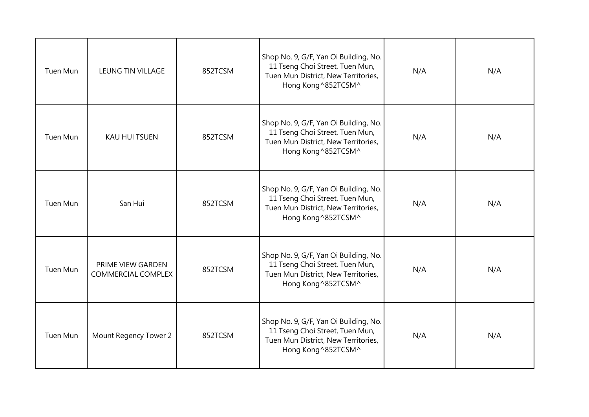| Tuen Mun        | LEUNG TIN VILLAGE                              | 852TCSM | Shop No. 9, G/F, Yan Oi Building, No.<br>11 Tseng Choi Street, Tuen Mun,<br>Tuen Mun District, New Territories,<br>Hong Kong ^852TCSM^ | N/A | N/A |
|-----------------|------------------------------------------------|---------|----------------------------------------------------------------------------------------------------------------------------------------|-----|-----|
| <b>Tuen Mun</b> | <b>KAU HUI TSUEN</b>                           | 852TCSM | Shop No. 9, G/F, Yan Oi Building, No.<br>11 Tseng Choi Street, Tuen Mun,<br>Tuen Mun District, New Territories,<br>Hong Kong ^852TCSM^ | N/A | N/A |
| <b>Tuen Mun</b> | San Hui                                        | 852TCSM | Shop No. 9, G/F, Yan Oi Building, No.<br>11 Tseng Choi Street, Tuen Mun,<br>Tuen Mun District, New Territories,<br>Hong Kong ^852TCSM^ | N/A | N/A |
| Tuen Mun        | PRIME VIEW GARDEN<br><b>COMMERCIAL COMPLEX</b> | 852TCSM | Shop No. 9, G/F, Yan Oi Building, No.<br>11 Tseng Choi Street, Tuen Mun,<br>Tuen Mun District, New Territories,<br>Hong Kong ^852TCSM^ | N/A | N/A |
| Tuen Mun        | Mount Regency Tower 2                          | 852TCSM | Shop No. 9, G/F, Yan Oi Building, No.<br>11 Tseng Choi Street, Tuen Mun,<br>Tuen Mun District, New Territories,<br>Hong Kong ^852TCSM^ | N/A | N/A |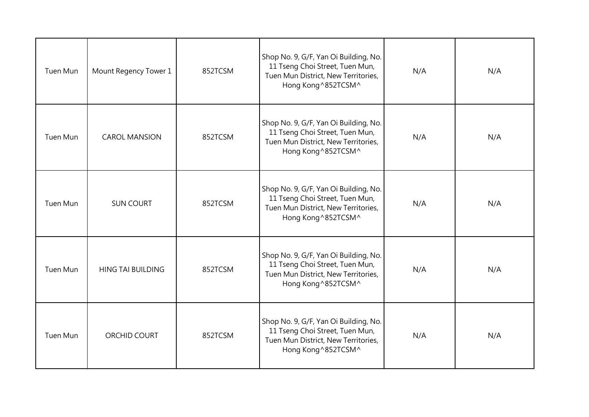| Tuen Mun        | Mount Regency Tower 1    | 852TCSM | Shop No. 9, G/F, Yan Oi Building, No.<br>11 Tseng Choi Street, Tuen Mun,<br>Tuen Mun District, New Territories,<br>Hong Kong ^852TCSM^ | N/A | N/A |
|-----------------|--------------------------|---------|----------------------------------------------------------------------------------------------------------------------------------------|-----|-----|
| <b>Tuen Mun</b> | <b>CAROL MANSION</b>     | 852TCSM | Shop No. 9, G/F, Yan Oi Building, No.<br>11 Tseng Choi Street, Tuen Mun,<br>Tuen Mun District, New Territories,<br>Hong Kong ^852TCSM^ | N/A | N/A |
| Tuen Mun        | <b>SUN COURT</b>         | 852TCSM | Shop No. 9, G/F, Yan Oi Building, No.<br>11 Tseng Choi Street, Tuen Mun,<br>Tuen Mun District, New Territories,<br>Hong Kong ^852TCSM^ | N/A | N/A |
| Tuen Mun        | <b>HING TAI BUILDING</b> | 852TCSM | Shop No. 9, G/F, Yan Oi Building, No.<br>11 Tseng Choi Street, Tuen Mun,<br>Tuen Mun District, New Territories,<br>Hong Kong ^852TCSM^ | N/A | N/A |
| Tuen Mun        | ORCHID COURT             | 852TCSM | Shop No. 9, G/F, Yan Oi Building, No.<br>11 Tseng Choi Street, Tuen Mun,<br>Tuen Mun District, New Territories,<br>Hong Kong ^852TCSM^ | N/A | N/A |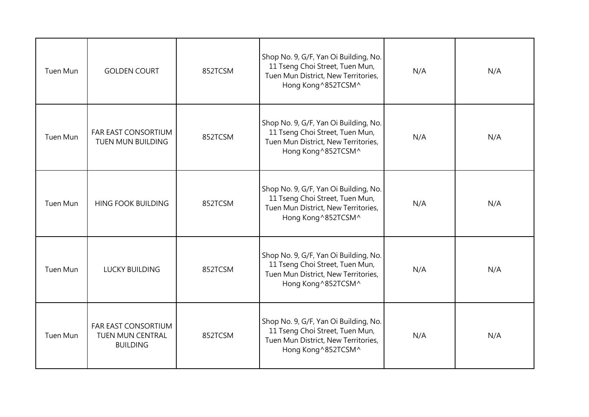| Tuen Mun        | <b>GOLDEN COURT</b>                                               | 852TCSM | Shop No. 9, G/F, Yan Oi Building, No.<br>11 Tseng Choi Street, Tuen Mun,<br>Tuen Mun District, New Territories,<br>Hong Kong ^852TCSM^ | N/A | N/A |
|-----------------|-------------------------------------------------------------------|---------|----------------------------------------------------------------------------------------------------------------------------------------|-----|-----|
| <b>Tuen Mun</b> | <b>FAR EAST CONSORTIUM</b><br>TUEN MUN BUILDING                   | 852TCSM | Shop No. 9, G/F, Yan Oi Building, No.<br>11 Tseng Choi Street, Tuen Mun,<br>Tuen Mun District, New Territories,<br>Hong Kong ^852TCSM^ | N/A | N/A |
| Tuen Mun        | <b>HING FOOK BUILDING</b>                                         | 852TCSM | Shop No. 9, G/F, Yan Oi Building, No.<br>11 Tseng Choi Street, Tuen Mun,<br>Tuen Mun District, New Territories,<br>Hong Kong ^852TCSM^ | N/A | N/A |
| <b>Tuen Mun</b> | <b>LUCKY BUILDING</b>                                             | 852TCSM | Shop No. 9, G/F, Yan Oi Building, No.<br>11 Tseng Choi Street, Tuen Mun,<br>Tuen Mun District, New Territories,<br>Hong Kong ^852TCSM^ | N/A | N/A |
| Tuen Mun        | FAR EAST CONSORTIUM<br><b>TUEN MUN CENTRAL</b><br><b>BUILDING</b> | 852TCSM | Shop No. 9, G/F, Yan Oi Building, No.<br>11 Tseng Choi Street, Tuen Mun,<br>Tuen Mun District, New Territories,<br>Hong Kong ^852TCSM^ | N/A | N/A |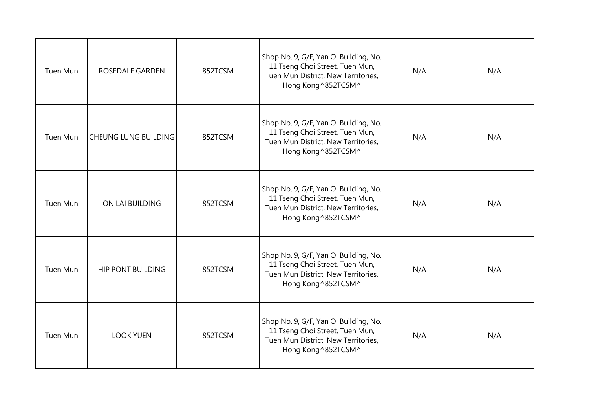| Tuen Mun | ROSEDALE GARDEN             | 852TCSM | Shop No. 9, G/F, Yan Oi Building, No.<br>11 Tseng Choi Street, Tuen Mun,<br>Tuen Mun District, New Territories,<br>Hong Kong ^852TCSM^ | N/A | N/A |
|----------|-----------------------------|---------|----------------------------------------------------------------------------------------------------------------------------------------|-----|-----|
| Tuen Mun | <b>CHEUNG LUNG BUILDING</b> | 852TCSM | Shop No. 9, G/F, Yan Oi Building, No.<br>11 Tseng Choi Street, Tuen Mun,<br>Tuen Mun District, New Territories,<br>Hong Kong ^852TCSM^ | N/A | N/A |
| Tuen Mun | ON LAI BUILDING             | 852TCSM | Shop No. 9, G/F, Yan Oi Building, No.<br>11 Tseng Choi Street, Tuen Mun,<br>Tuen Mun District, New Territories,<br>Hong Kong ^852TCSM^ | N/A | N/A |
| Tuen Mun | <b>HIP PONT BUILDING</b>    | 852TCSM | Shop No. 9, G/F, Yan Oi Building, No.<br>11 Tseng Choi Street, Tuen Mun,<br>Tuen Mun District, New Territories,<br>Hong Kong ^852TCSM^ | N/A | N/A |
| Tuen Mun | <b>LOOK YUEN</b>            | 852TCSM | Shop No. 9, G/F, Yan Oi Building, No.<br>11 Tseng Choi Street, Tuen Mun,<br>Tuen Mun District, New Territories,<br>Hong Kong ^852TCSM^ | N/A | N/A |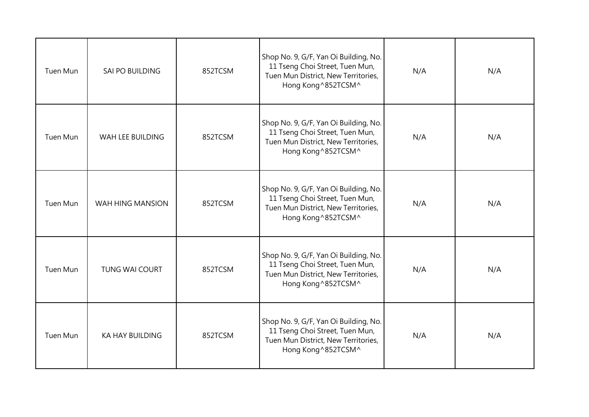| Tuen Mun        | SAI PO BUILDING        | 852TCSM | Shop No. 9, G/F, Yan Oi Building, No.<br>11 Tseng Choi Street, Tuen Mun,<br>Tuen Mun District, New Territories,<br>Hong Kong ^852TCSM^ | N/A | N/A |
|-----------------|------------------------|---------|----------------------------------------------------------------------------------------------------------------------------------------|-----|-----|
| Tuen Mun        | WAH LEE BUILDING       | 852TCSM | Shop No. 9, G/F, Yan Oi Building, No.<br>11 Tseng Choi Street, Tuen Mun,<br>Tuen Mun District, New Territories,<br>Hong Kong ^852TCSM^ | N/A | N/A |
| Tuen Mun        | WAH HING MANSION       | 852TCSM | Shop No. 9, G/F, Yan Oi Building, No.<br>11 Tseng Choi Street, Tuen Mun,<br>Tuen Mun District, New Territories,<br>Hong Kong ^852TCSM^ | N/A | N/A |
| <b>Tuen Mun</b> | <b>TUNG WAI COURT</b>  | 852TCSM | Shop No. 9, G/F, Yan Oi Building, No.<br>11 Tseng Choi Street, Tuen Mun,<br>Tuen Mun District, New Territories,<br>Hong Kong ^852TCSM^ | N/A | N/A |
| Tuen Mun        | <b>KA HAY BUILDING</b> | 852TCSM | Shop No. 9, G/F, Yan Oi Building, No.<br>11 Tseng Choi Street, Tuen Mun,<br>Tuen Mun District, New Territories,<br>Hong Kong ^852TCSM^ | N/A | N/A |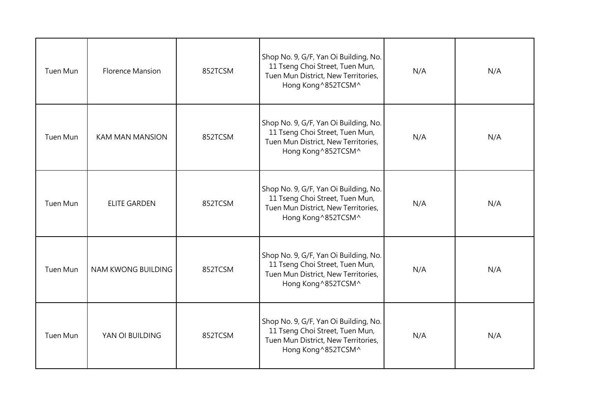| Tuen Mun        | <b>Florence Mansion</b>   | 852TCSM | Shop No. 9, G/F, Yan Oi Building, No.<br>11 Tseng Choi Street, Tuen Mun,<br>Tuen Mun District, New Territories,<br>Hong Kong ^852TCSM^ | N/A | N/A |
|-----------------|---------------------------|---------|----------------------------------------------------------------------------------------------------------------------------------------|-----|-----|
| <b>Tuen Mun</b> | <b>KAM MAN MANSION</b>    | 852TCSM | Shop No. 9, G/F, Yan Oi Building, No.<br>11 Tseng Choi Street, Tuen Mun,<br>Tuen Mun District, New Territories,<br>Hong Kong ^852TCSM^ | N/A | N/A |
| Tuen Mun        | <b>ELITE GARDEN</b>       | 852TCSM | Shop No. 9, G/F, Yan Oi Building, No.<br>11 Tseng Choi Street, Tuen Mun,<br>Tuen Mun District, New Territories,<br>Hong Kong ^852TCSM^ | N/A | N/A |
| Tuen Mun        | <b>NAM KWONG BUILDING</b> | 852TCSM | Shop No. 9, G/F, Yan Oi Building, No.<br>11 Tseng Choi Street, Tuen Mun,<br>Tuen Mun District, New Territories,<br>Hong Kong ^852TCSM^ | N/A | N/A |
| Tuen Mun        | YAN OI BUILDING           | 852TCSM | Shop No. 9, G/F, Yan Oi Building, No.<br>11 Tseng Choi Street, Tuen Mun,<br>Tuen Mun District, New Territories,<br>Hong Kong ^852TCSM^ | N/A | N/A |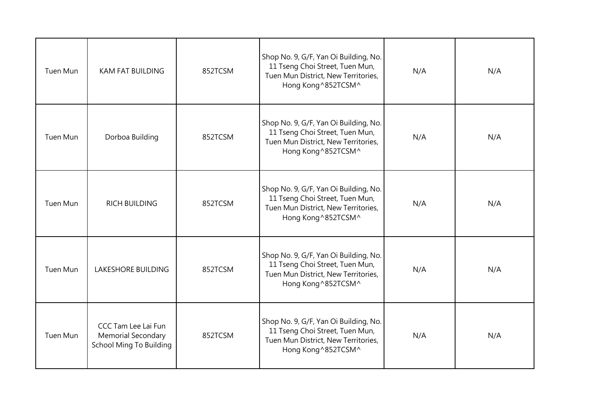| Tuen Mun        | <b>KAM FAT BUILDING</b>                                              | 852TCSM | Shop No. 9, G/F, Yan Oi Building, No.<br>11 Tseng Choi Street, Tuen Mun,<br>Tuen Mun District, New Territories,<br>Hong Kong ^852TCSM^ | N/A | N/A |
|-----------------|----------------------------------------------------------------------|---------|----------------------------------------------------------------------------------------------------------------------------------------|-----|-----|
| Tuen Mun        | Dorboa Building                                                      | 852TCSM | Shop No. 9, G/F, Yan Oi Building, No.<br>11 Tseng Choi Street, Tuen Mun,<br>Tuen Mun District, New Territories,<br>Hong Kong ^852TCSM^ | N/A | N/A |
| Tuen Mun        | <b>RICH BUILDING</b>                                                 | 852TCSM | Shop No. 9, G/F, Yan Oi Building, No.<br>11 Tseng Choi Street, Tuen Mun,<br>Tuen Mun District, New Territories,<br>Hong Kong ^852TCSM^ | N/A | N/A |
| <b>Tuen Mun</b> | <b>LAKESHORE BUILDING</b>                                            | 852TCSM | Shop No. 9, G/F, Yan Oi Building, No.<br>11 Tseng Choi Street, Tuen Mun,<br>Tuen Mun District, New Territories,<br>Hong Kong ^852TCSM^ | N/A | N/A |
| Tuen Mun        | CCC Tam Lee Lai Fun<br>Memorial Secondary<br>School Ming To Building | 852TCSM | Shop No. 9, G/F, Yan Oi Building, No.<br>11 Tseng Choi Street, Tuen Mun,<br>Tuen Mun District, New Territories,<br>Hong Kong ^852TCSM^ | N/A | N/A |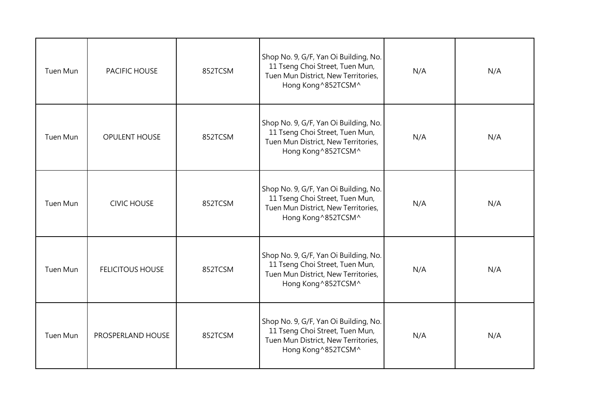| Tuen Mun | PACIFIC HOUSE           | 852TCSM | Shop No. 9, G/F, Yan Oi Building, No.<br>11 Tseng Choi Street, Tuen Mun,<br>Tuen Mun District, New Territories,<br>Hong Kong ^852TCSM^ | N/A | N/A |
|----------|-------------------------|---------|----------------------------------------------------------------------------------------------------------------------------------------|-----|-----|
| Tuen Mun | OPULENT HOUSE           | 852TCSM | Shop No. 9, G/F, Yan Oi Building, No.<br>11 Tseng Choi Street, Tuen Mun,<br>Tuen Mun District, New Territories,<br>Hong Kong ^852TCSM^ | N/A | N/A |
| Tuen Mun | <b>CIVIC HOUSE</b>      | 852TCSM | Shop No. 9, G/F, Yan Oi Building, No.<br>11 Tseng Choi Street, Tuen Mun,<br>Tuen Mun District, New Territories,<br>Hong Kong ^852TCSM^ | N/A | N/A |
| Tuen Mun | <b>FELICITOUS HOUSE</b> | 852TCSM | Shop No. 9, G/F, Yan Oi Building, No.<br>11 Tseng Choi Street, Tuen Mun,<br>Tuen Mun District, New Territories,<br>Hong Kong ^852TCSM^ | N/A | N/A |
| Tuen Mun | PROSPERLAND HOUSE       | 852TCSM | Shop No. 9, G/F, Yan Oi Building, No.<br>11 Tseng Choi Street, Tuen Mun,<br>Tuen Mun District, New Territories,<br>Hong Kong ^852TCSM^ | N/A | N/A |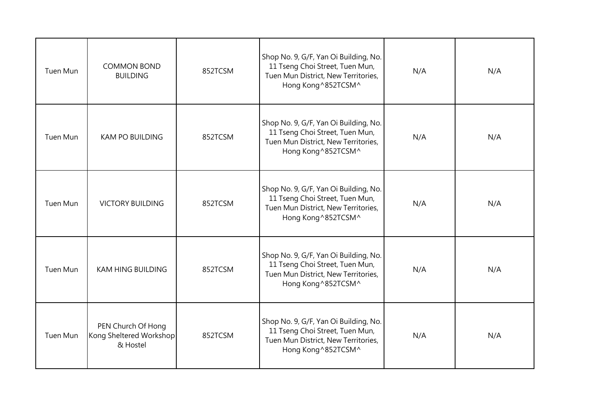| Tuen Mun        | <b>COMMON BOND</b><br><b>BUILDING</b>                     | 852TCSM | Shop No. 9, G/F, Yan Oi Building, No.<br>11 Tseng Choi Street, Tuen Mun,<br>Tuen Mun District, New Territories,<br>Hong Kong ^852TCSM^ | N/A | N/A |
|-----------------|-----------------------------------------------------------|---------|----------------------------------------------------------------------------------------------------------------------------------------|-----|-----|
| Tuen Mun        | <b>KAM PO BUILDING</b>                                    | 852TCSM | Shop No. 9, G/F, Yan Oi Building, No.<br>11 Tseng Choi Street, Tuen Mun,<br>Tuen Mun District, New Territories,<br>Hong Kong ^852TCSM^ | N/A | N/A |
| Tuen Mun        | <b>VICTORY BUILDING</b>                                   | 852TCSM | Shop No. 9, G/F, Yan Oi Building, No.<br>11 Tseng Choi Street, Tuen Mun,<br>Tuen Mun District, New Territories,<br>Hong Kong ^852TCSM^ | N/A | N/A |
| <b>Tuen Mun</b> | <b>KAM HING BUILDING</b>                                  | 852TCSM | Shop No. 9, G/F, Yan Oi Building, No.<br>11 Tseng Choi Street, Tuen Mun,<br>Tuen Mun District, New Territories,<br>Hong Kong ^852TCSM^ | N/A | N/A |
| Tuen Mun        | PEN Church Of Hong<br>Kong Sheltered Workshop<br>& Hostel | 852TCSM | Shop No. 9, G/F, Yan Oi Building, No.<br>11 Tseng Choi Street, Tuen Mun,<br>Tuen Mun District, New Territories,<br>Hong Kong ^852TCSM^ | N/A | N/A |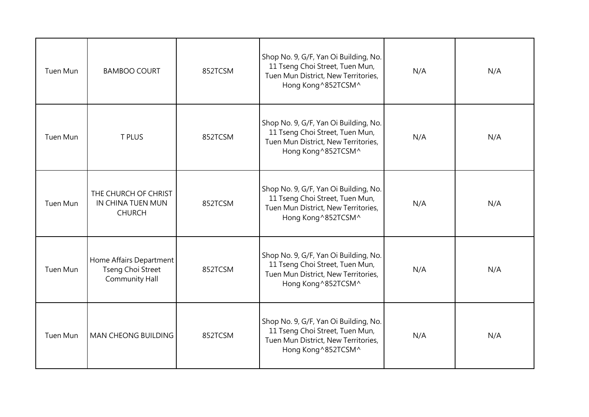| Tuen Mun        | <b>BAMBOO COURT</b>                                            | 852TCSM | Shop No. 9, G/F, Yan Oi Building, No.<br>11 Tseng Choi Street, Tuen Mun,<br>Tuen Mun District, New Territories,<br>Hong Kong ^852TCSM^ | N/A | N/A |
|-----------------|----------------------------------------------------------------|---------|----------------------------------------------------------------------------------------------------------------------------------------|-----|-----|
| <b>Tuen Mun</b> | <b>T PLUS</b>                                                  | 852TCSM | Shop No. 9, G/F, Yan Oi Building, No.<br>11 Tseng Choi Street, Tuen Mun,<br>Tuen Mun District, New Territories,<br>Hong Kong ^852TCSM^ | N/A | N/A |
| Tuen Mun        | THE CHURCH OF CHRIST<br>IN CHINA TUEN MUN<br><b>CHURCH</b>     | 852TCSM | Shop No. 9, G/F, Yan Oi Building, No.<br>11 Tseng Choi Street, Tuen Mun,<br>Tuen Mun District, New Territories,<br>Hong Kong ^852TCSM^ | N/A | N/A |
| <b>Tuen Mun</b> | Home Affairs Department<br>Tseng Choi Street<br>Community Hall | 852TCSM | Shop No. 9, G/F, Yan Oi Building, No.<br>11 Tseng Choi Street, Tuen Mun,<br>Tuen Mun District, New Territories,<br>Hong Kong ^852TCSM^ | N/A | N/A |
| Tuen Mun        | <b>MAN CHEONG BUILDING</b>                                     | 852TCSM | Shop No. 9, G/F, Yan Oi Building, No.<br>11 Tseng Choi Street, Tuen Mun,<br>Tuen Mun District, New Territories,<br>Hong Kong ^852TCSM^ | N/A | N/A |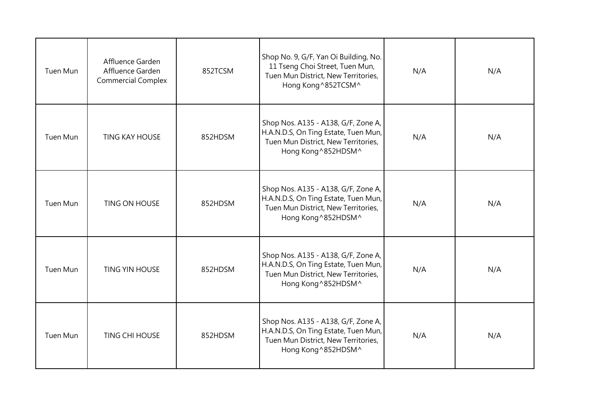| Tuen Mun | Affluence Garden<br>Affluence Garden<br><b>Commercial Complex</b> | 852TCSM | Shop No. 9, G/F, Yan Oi Building, No.<br>11 Tseng Choi Street, Tuen Mun,<br>Tuen Mun District, New Territories,<br>Hong Kong ^852TCSM^    | N/A | N/A |
|----------|-------------------------------------------------------------------|---------|-------------------------------------------------------------------------------------------------------------------------------------------|-----|-----|
| Tuen Mun | <b>TING KAY HOUSE</b>                                             | 852HDSM | Shop Nos. A135 - A138, G/F, Zone A,<br>H.A.N.D.S, On Ting Estate, Tuen Mun,<br>Tuen Mun District, New Territories,<br>Hong Kong ^852HDSM^ | N/A | N/A |
| Tuen Mun | TING ON HOUSE                                                     | 852HDSM | Shop Nos. A135 - A138, G/F, Zone A,<br>H.A.N.D.S, On Ting Estate, Tuen Mun,<br>Tuen Mun District, New Territories,<br>Hong Kong^852HDSM^  | N/A | N/A |
| Tuen Mun | <b>TING YIN HOUSE</b>                                             | 852HDSM | Shop Nos. A135 - A138, G/F, Zone A,<br>H.A.N.D.S, On Ting Estate, Tuen Mun,<br>Tuen Mun District, New Territories,<br>Hong Kong ^852HDSM^ | N/A | N/A |
| Tuen Mun | <b>TING CHI HOUSE</b>                                             | 852HDSM | Shop Nos. A135 - A138, G/F, Zone A,<br>H.A.N.D.S, On Ting Estate, Tuen Mun,<br>Tuen Mun District, New Territories,<br>Hong Kong ^852HDSM^ | N/A | N/A |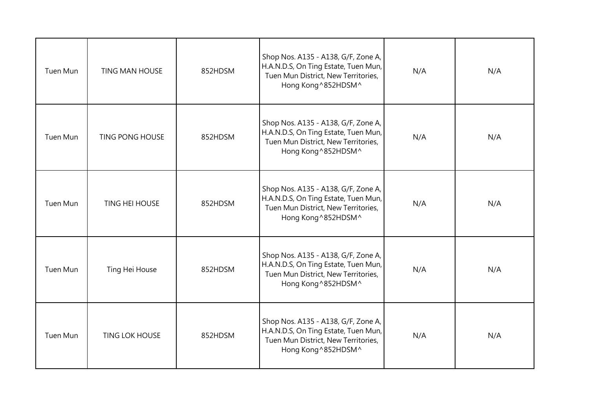| Tuen Mun | <b>TING MAN HOUSE</b>  | 852HDSM | Shop Nos. A135 - A138, G/F, Zone A,<br>H.A.N.D.S, On Ting Estate, Tuen Mun,<br>Tuen Mun District, New Territories,<br>Hong Kong ^852HDSM^ | N/A | N/A |
|----------|------------------------|---------|-------------------------------------------------------------------------------------------------------------------------------------------|-----|-----|
| Tuen Mun | <b>TING PONG HOUSE</b> | 852HDSM | Shop Nos. A135 - A138, G/F, Zone A,<br>H.A.N.D.S, On Ting Estate, Tuen Mun,<br>Tuen Mun District, New Territories,<br>Hong Kong ^852HDSM^ | N/A | N/A |
| Tuen Mun | <b>TING HEI HOUSE</b>  | 852HDSM | Shop Nos. A135 - A138, G/F, Zone A,<br>H.A.N.D.S, On Ting Estate, Tuen Mun,<br>Tuen Mun District, New Territories,<br>Hong Kong ^852HDSM^ | N/A | N/A |
| Tuen Mun | Ting Hei House         | 852HDSM | Shop Nos. A135 - A138, G/F, Zone A,<br>H.A.N.D.S, On Ting Estate, Tuen Mun,<br>Tuen Mun District, New Territories,<br>Hong Kong ^852HDSM^ | N/A | N/A |
| Tuen Mun | <b>TING LOK HOUSE</b>  | 852HDSM | Shop Nos. A135 - A138, G/F, Zone A,<br>H.A.N.D.S, On Ting Estate, Tuen Mun,<br>Tuen Mun District, New Territories,<br>Hong Kong ^852HDSM^ | N/A | N/A |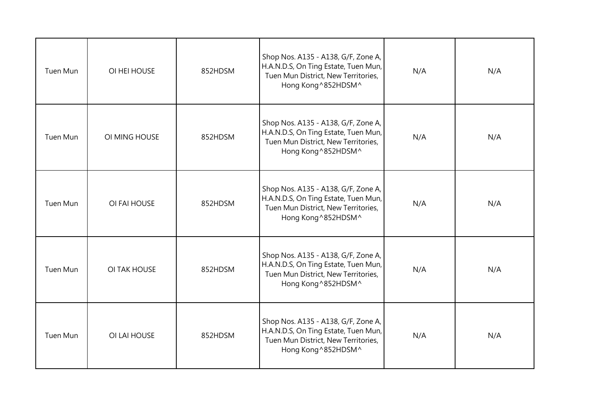| Tuen Mun | OI HEI HOUSE  | 852HDSM | Shop Nos. A135 - A138, G/F, Zone A,<br>H.A.N.D.S, On Ting Estate, Tuen Mun,<br>Tuen Mun District, New Territories,<br>Hong Kong ^852HDSM^ | N/A | N/A |
|----------|---------------|---------|-------------------------------------------------------------------------------------------------------------------------------------------|-----|-----|
| Tuen Mun | OI MING HOUSE | 852HDSM | Shop Nos. A135 - A138, G/F, Zone A,<br>H.A.N.D.S, On Ting Estate, Tuen Mun,<br>Tuen Mun District, New Territories,<br>Hong Kong ^852HDSM^ | N/A | N/A |
| Tuen Mun | OI FAI HOUSE  | 852HDSM | Shop Nos. A135 - A138, G/F, Zone A,<br>H.A.N.D.S, On Ting Estate, Tuen Mun,<br>Tuen Mun District, New Territories,<br>Hong Kong ^852HDSM^ | N/A | N/A |
| Tuen Mun | OI TAK HOUSE  | 852HDSM | Shop Nos. A135 - A138, G/F, Zone A,<br>H.A.N.D.S, On Ting Estate, Tuen Mun,<br>Tuen Mun District, New Territories,<br>Hong Kong ^852HDSM^ | N/A | N/A |
| Tuen Mun | OI LAI HOUSE  | 852HDSM | Shop Nos. A135 - A138, G/F, Zone A,<br>H.A.N.D.S, On Ting Estate, Tuen Mun,<br>Tuen Mun District, New Territories,<br>Hong Kong ^852HDSM^ | N/A | N/A |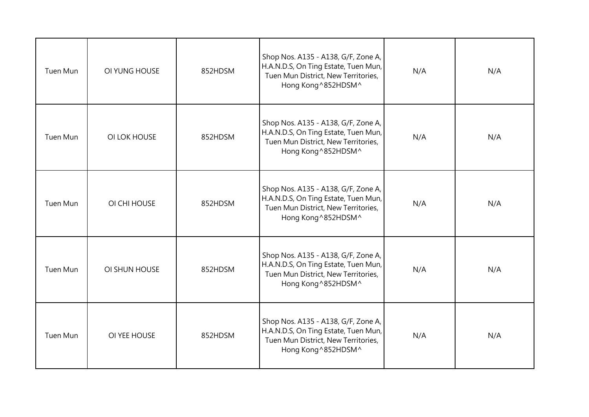| Tuen Mun | OI YUNG HOUSE | 852HDSM | Shop Nos. A135 - A138, G/F, Zone A,<br>H.A.N.D.S, On Ting Estate, Tuen Mun,<br>Tuen Mun District, New Territories,<br>Hong Kong ^852HDSM^ | N/A | N/A |
|----------|---------------|---------|-------------------------------------------------------------------------------------------------------------------------------------------|-----|-----|
| Tuen Mun | OI LOK HOUSE  | 852HDSM | Shop Nos. A135 - A138, G/F, Zone A,<br>H.A.N.D.S, On Ting Estate, Tuen Mun,<br>Tuen Mun District, New Territories,<br>Hong Kong ^852HDSM^ | N/A | N/A |
| Tuen Mun | OI CHI HOUSE  | 852HDSM | Shop Nos. A135 - A138, G/F, Zone A,<br>H.A.N.D.S, On Ting Estate, Tuen Mun,<br>Tuen Mun District, New Territories,<br>Hong Kong ^852HDSM^ | N/A | N/A |
| Tuen Mun | OI SHUN HOUSE | 852HDSM | Shop Nos. A135 - A138, G/F, Zone A,<br>H.A.N.D.S, On Ting Estate, Tuen Mun,<br>Tuen Mun District, New Territories,<br>Hong Kong ^852HDSM^ | N/A | N/A |
| Tuen Mun | OI YEE HOUSE  | 852HDSM | Shop Nos. A135 - A138, G/F, Zone A,<br>H.A.N.D.S, On Ting Estate, Tuen Mun,<br>Tuen Mun District, New Territories,<br>Hong Kong ^852HDSM^ | N/A | N/A |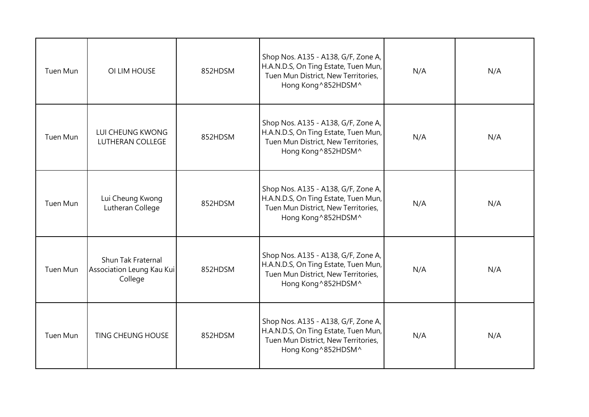| Tuen Mun | OI LIM HOUSE                                                      | 852HDSM | Shop Nos. A135 - A138, G/F, Zone A,<br>H.A.N.D.S, On Ting Estate, Tuen Mun,<br>Tuen Mun District, New Territories,<br>Hong Kong ^852HDSM^ | N/A | N/A |
|----------|-------------------------------------------------------------------|---------|-------------------------------------------------------------------------------------------------------------------------------------------|-----|-----|
| Tuen Mun | LUI CHEUNG KWONG<br><b>LUTHERAN COLLEGE</b>                       | 852HDSM | Shop Nos. A135 - A138, G/F, Zone A,<br>H.A.N.D.S, On Ting Estate, Tuen Mun,<br>Tuen Mun District, New Territories,<br>Hong Kong ^852HDSM^ | N/A | N/A |
| Tuen Mun | Lui Cheung Kwong<br>Lutheran College                              | 852HDSM | Shop Nos. A135 - A138, G/F, Zone A,<br>H.A.N.D.S, On Ting Estate, Tuen Mun,<br>Tuen Mun District, New Territories,<br>Hong Kong ^852HDSM^ | N/A | N/A |
| Tuen Mun | <b>Shun Tak Fraternal</b><br>Association Leung Kau Kui<br>College | 852HDSM | Shop Nos. A135 - A138, G/F, Zone A,<br>H.A.N.D.S, On Ting Estate, Tuen Mun,<br>Tuen Mun District, New Territories,<br>Hong Kong ^852HDSM^ | N/A | N/A |
| Tuen Mun | <b>TING CHEUNG HOUSE</b>                                          | 852HDSM | Shop Nos. A135 - A138, G/F, Zone A,<br>H.A.N.D.S, On Ting Estate, Tuen Mun,<br>Tuen Mun District, New Territories,<br>Hong Kong ^852HDSM^ | N/A | N/A |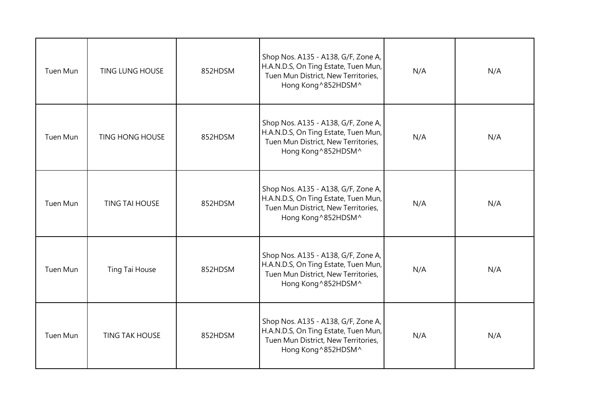| Tuen Mun | <b>TING LUNG HOUSE</b> | 852HDSM | Shop Nos. A135 - A138, G/F, Zone A,<br>H.A.N.D.S, On Ting Estate, Tuen Mun,<br>Tuen Mun District, New Territories,<br>Hong Kong^852HDSM^  | N/A | N/A |
|----------|------------------------|---------|-------------------------------------------------------------------------------------------------------------------------------------------|-----|-----|
| Tuen Mun | <b>TING HONG HOUSE</b> | 852HDSM | Shop Nos. A135 - A138, G/F, Zone A,<br>H.A.N.D.S, On Ting Estate, Tuen Mun,<br>Tuen Mun District, New Territories,<br>Hong Kong ^852HDSM^ | N/A | N/A |
| Tuen Mun | <b>TING TAI HOUSE</b>  | 852HDSM | Shop Nos. A135 - A138, G/F, Zone A,<br>H.A.N.D.S, On Ting Estate, Tuen Mun,<br>Tuen Mun District, New Territories,<br>Hong Kong ^852HDSM^ | N/A | N/A |
| Tuen Mun | Ting Tai House         | 852HDSM | Shop Nos. A135 - A138, G/F, Zone A,<br>H.A.N.D.S, On Ting Estate, Tuen Mun,<br>Tuen Mun District, New Territories,<br>Hong Kong ^852HDSM^ | N/A | N/A |
| Tuen Mun | <b>TING TAK HOUSE</b>  | 852HDSM | Shop Nos. A135 - A138, G/F, Zone A,<br>H.A.N.D.S, On Ting Estate, Tuen Mun,<br>Tuen Mun District, New Territories,<br>Hong Kong ^852HDSM^ | N/A | N/A |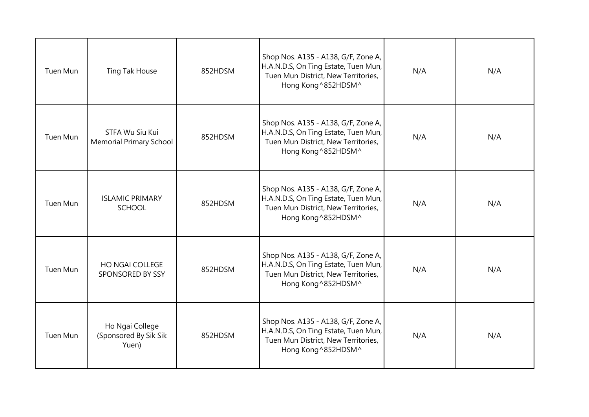| Tuen Mun | Ting Tak House                                    | 852HDSM | Shop Nos. A135 - A138, G/F, Zone A,<br>H.A.N.D.S, On Ting Estate, Tuen Mun,<br>Tuen Mun District, New Territories,<br>Hong Kong ^852HDSM^ | N/A | N/A |
|----------|---------------------------------------------------|---------|-------------------------------------------------------------------------------------------------------------------------------------------|-----|-----|
| Tuen Mun | STFA Wu Siu Kui<br><b>Memorial Primary School</b> | 852HDSM | Shop Nos. A135 - A138, G/F, Zone A,<br>H.A.N.D.S, On Ting Estate, Tuen Mun,<br>Tuen Mun District, New Territories,<br>Hong Kong ^852HDSM^ | N/A | N/A |
| Tuen Mun | <b>ISLAMIC PRIMARY</b><br><b>SCHOOL</b>           | 852HDSM | Shop Nos. A135 - A138, G/F, Zone A,<br>H.A.N.D.S, On Ting Estate, Tuen Mun,<br>Tuen Mun District, New Territories,<br>Hong Kong ^852HDSM^ | N/A | N/A |
| Tuen Mun | <b>HO NGAI COLLEGE</b><br>SPONSORED BY SSY        | 852HDSM | Shop Nos. A135 - A138, G/F, Zone A,<br>H.A.N.D.S, On Ting Estate, Tuen Mun,<br>Tuen Mun District, New Territories,<br>Hong Kong ^852HDSM^ | N/A | N/A |
| Tuen Mun | Ho Ngai College<br>(Sponsored By Sik Sik<br>Yuen) | 852HDSM | Shop Nos. A135 - A138, G/F, Zone A,<br>H.A.N.D.S, On Ting Estate, Tuen Mun,<br>Tuen Mun District, New Territories,<br>Hong Kong ^852HDSM^ | N/A | N/A |